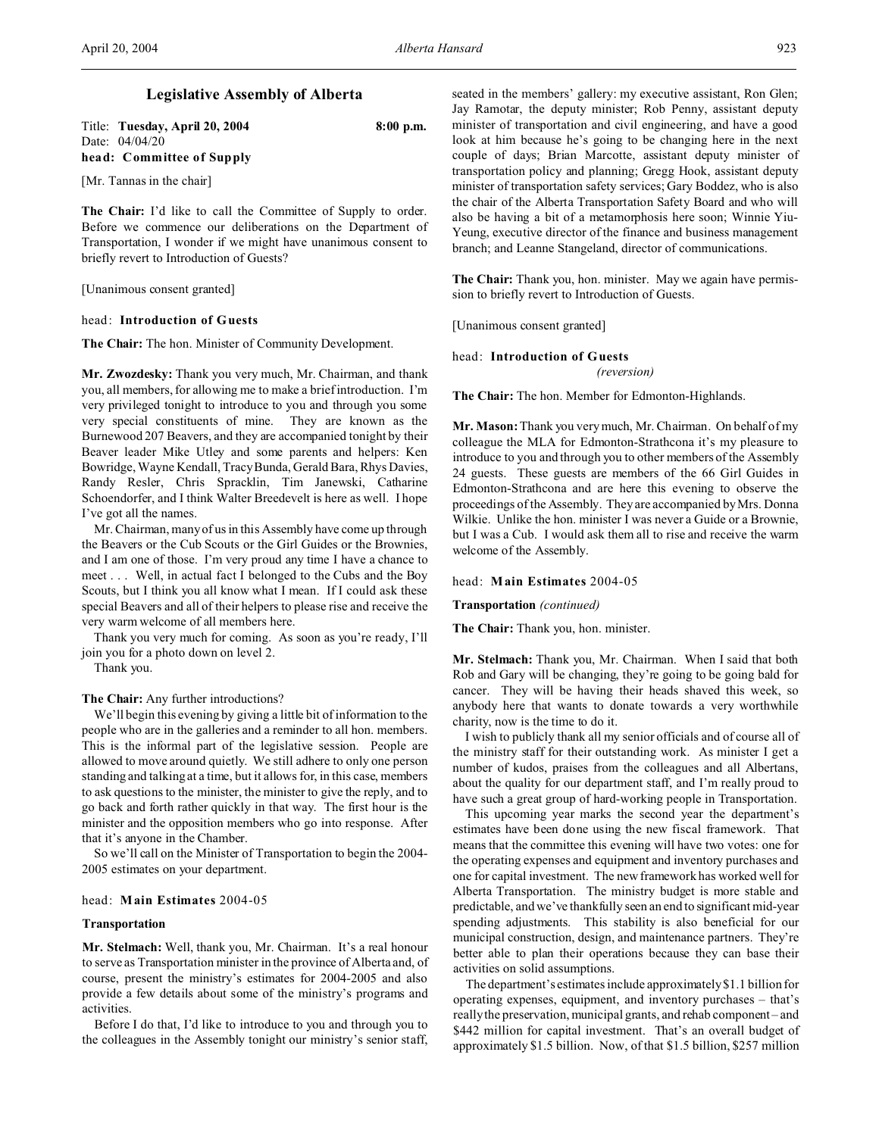# **Legislative Assembly of Alberta**

| Title: Tuesday, April 20, 2004 | $8:00$ p.m. |
|--------------------------------|-------------|
| Date: 04/04/20                 |             |
| head: Committee of Supply      |             |

[Mr. Tannas in the chair]

**The Chair:** I'd like to call the Committee of Supply to order. Before we commence our deliberations on the Department of Transportation, I wonder if we might have unanimous consent to briefly revert to Introduction of Guests?

[Unanimous consent granted]

## head: **Introduction of Guests**

**The Chair:** The hon. Minister of Community Development.

**Mr. Zwozdesky:** Thank you very much, Mr. Chairman, and thank you, all members, for allowing me to make a brief introduction. I'm very privileged tonight to introduce to you and through you some very special constituents of mine. They are known as the Burnewood 207 Beavers, and they are accompanied tonight by their Beaver leader Mike Utley and some parents and helpers: Ken Bowridge, Wayne Kendall, Tracy Bunda, Gerald Bara, Rhys Davies, Randy Resler, Chris Spracklin, Tim Janewski, Catharine Schoendorfer, and I think Walter Breedevelt is here as well. I hope I've got all the names.

Mr. Chairman, many of us in this Assembly have come up through the Beavers or the Cub Scouts or the Girl Guides or the Brownies, and I am one of those. I'm very proud any time I have a chance to meet . . . Well, in actual fact I belonged to the Cubs and the Boy Scouts, but I think you all know what I mean. If I could ask these special Beavers and all of their helpers to please rise and receive the very warm welcome of all members here.

Thank you very much for coming. As soon as you're ready, I'll join you for a photo down on level 2.

Thank you.

**The Chair:** Any further introductions?

We'll begin this evening by giving a little bit of information to the people who are in the galleries and a reminder to all hon. members. This is the informal part of the legislative session. People are allowed to move around quietly. We still adhere to only one person standing and talking at a time, but it allows for, in this case, members to ask questions to the minister, the minister to give the reply, and to go back and forth rather quickly in that way. The first hour is the minister and the opposition members who go into response. After that it's anyone in the Chamber.

So we'll call on the Minister of Transportation to begin the 2004- 2005 estimates on your department.

#### head: **Main Estimates** 2004-05

## **Transportation**

**Mr. Stelmach:** Well, thank you, Mr. Chairman. It's a real honour to serve as Transportation minister in the province of Alberta and, of course, present the ministry's estimates for 2004-2005 and also provide a few details about some of the ministry's programs and activities.

Before I do that, I'd like to introduce to you and through you to the colleagues in the Assembly tonight our ministry's senior staff, seated in the members' gallery: my executive assistant, Ron Glen; Jay Ramotar, the deputy minister; Rob Penny, assistant deputy minister of transportation and civil engineering, and have a good look at him because he's going to be changing here in the next couple of days; Brian Marcotte, assistant deputy minister of transportation policy and planning; Gregg Hook, assistant deputy minister of transportation safety services; Gary Boddez, who is also the chair of the Alberta Transportation Safety Board and who will also be having a bit of a metamorphosis here soon; Winnie Yiu-Yeung, executive director of the finance and business management branch; and Leanne Stangeland, director of communications.

**The Chair:** Thank you, hon. minister. May we again have permission to briefly revert to Introduction of Guests.

[Unanimous consent granted]

head: **Introduction of Guests**

*(reversion)*

**The Chair:** The hon. Member for Edmonton-Highlands.

**Mr. Mason:** Thank you very much, Mr. Chairman. On behalf of my colleague the MLA for Edmonton-Strathcona it's my pleasure to introduce to you and through you to other members of the Assembly 24 guests. These guests are members of the 66 Girl Guides in Edmonton-Strathcona and are here this evening to observe the proceedings of the Assembly. They are accompanied by Mrs. Donna Wilkie. Unlike the hon. minister I was never a Guide or a Brownie, but I was a Cub. I would ask them all to rise and receive the warm welcome of the Assembly.

## head: **Main Estimates** 2004-05

**Transportation** *(continued)*

**The Chair:** Thank you, hon. minister.

**Mr. Stelmach:** Thank you, Mr. Chairman. When I said that both Rob and Gary will be changing, they're going to be going bald for cancer. They will be having their heads shaved this week, so anybody here that wants to donate towards a very worthwhile charity, now is the time to do it.

I wish to publicly thank all my senior officials and of course all of the ministry staff for their outstanding work. As minister I get a number of kudos, praises from the colleagues and all Albertans, about the quality for our department staff, and I'm really proud to have such a great group of hard-working people in Transportation.

This upcoming year marks the second year the department's estimates have been done using the new fiscal framework. That means that the committee this evening will have two votes: one for the operating expenses and equipment and inventory purchases and one for capital investment. The new framework has worked well for Alberta Transportation. The ministry budget is more stable and predictable, and we've thankfully seen an end to significant mid-year spending adjustments. This stability is also beneficial for our municipal construction, design, and maintenance partners. They're better able to plan their operations because they can base their activities on solid assumptions.

The department's estimates include approximately \$1.1 billion for operating expenses, equipment, and inventory purchases – that's really the preservation, municipal grants, and rehab component – and \$442 million for capital investment. That's an overall budget of approximately \$1.5 billion. Now, of that \$1.5 billion, \$257 million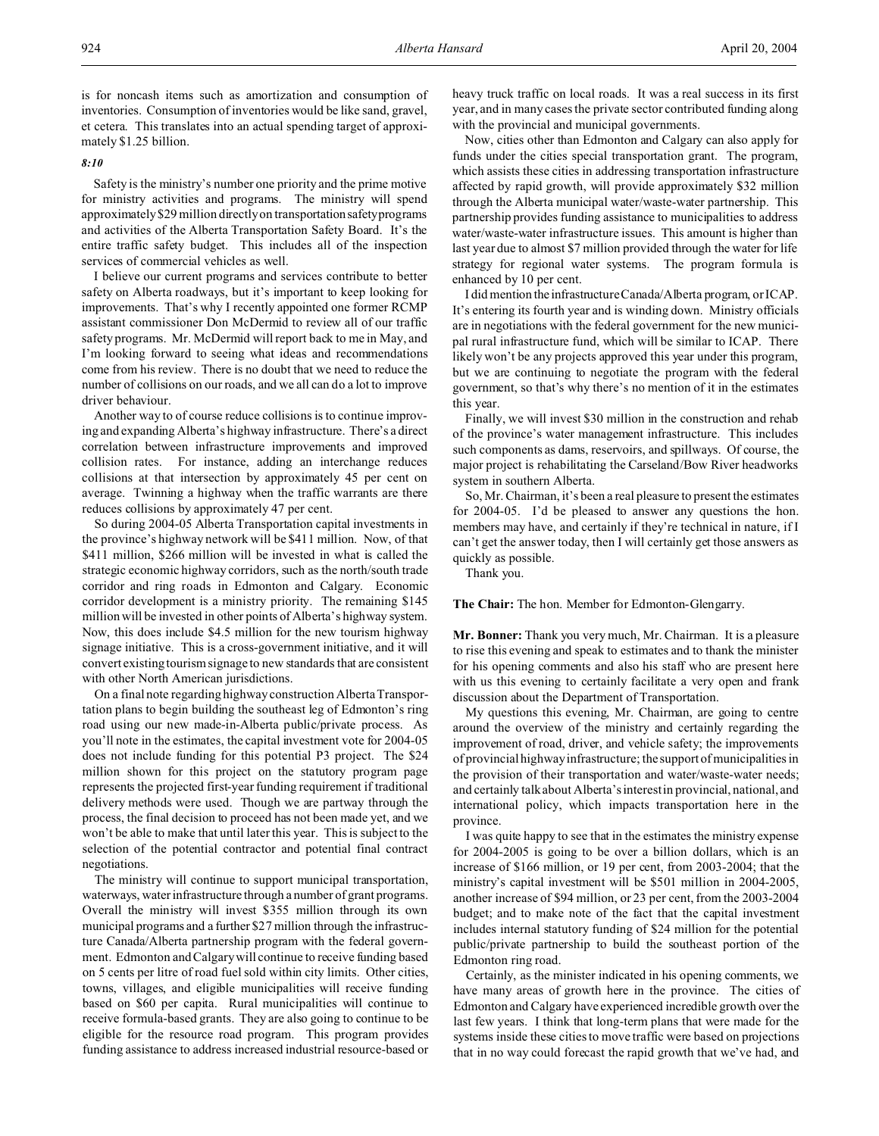is for noncash items such as amortization and consumption of inventories. Consumption of inventories would be like sand, gravel, et cetera. This translates into an actual spending target of approximately \$1.25 billion.

## *8:10*

Safety is the ministry's number one priority and the prime motive for ministry activities and programs. The ministry will spend approximately \$29 million directly on transportationsafety programs and activities of the Alberta Transportation Safety Board. It's the entire traffic safety budget. This includes all of the inspection services of commercial vehicles as well.

I believe our current programs and services contribute to better safety on Alberta roadways, but it's important to keep looking for improvements. That's why I recently appointed one former RCMP assistant commissioner Don McDermid to review all of our traffic safety programs. Mr. McDermid will report back to me in May, and I'm looking forward to seeing what ideas and recommendations come from his review. There is no doubt that we need to reduce the number of collisions on our roads, and we all can do a lot to improve driver behaviour.

Another way to of course reduce collisions is to continue improving and expanding Alberta's highway infrastructure. There's a direct correlation between infrastructure improvements and improved collision rates. For instance, adding an interchange reduces collisions at that intersection by approximately 45 per cent on average. Twinning a highway when the traffic warrants are there reduces collisions by approximately 47 per cent.

So during 2004-05 Alberta Transportation capital investments in the province's highway network will be \$411 million. Now, of that \$411 million, \$266 million will be invested in what is called the strategic economic highway corridors, such as the north/south trade corridor and ring roads in Edmonton and Calgary. Economic corridor development is a ministry priority. The remaining \$145 million will be invested in other points of Alberta's highway system. Now, this does include \$4.5 million for the new tourism highway signage initiative. This is a cross-government initiative, and it will convert existing tourism signage to new standards that are consistent with other North American jurisdictions.

On a final note regarding highway construction Alberta Transportation plans to begin building the southeast leg of Edmonton's ring road using our new made-in-Alberta public/private process. As you'll note in the estimates, the capital investment vote for 2004-05 does not include funding for this potential P3 project. The \$24 million shown for this project on the statutory program page represents the projected first-year funding requirement if traditional delivery methods were used. Though we are partway through the process, the final decision to proceed has not been made yet, and we won't be able to make that until later this year. This is subject to the selection of the potential contractor and potential final contract negotiations.

The ministry will continue to support municipal transportation, waterways, water infrastructure through a number of grant programs. Overall the ministry will invest \$355 million through its own municipal programs and a further \$27 million through the infrastructure Canada/Alberta partnership program with the federal government. Edmonton and Calgary will continue to receive funding based on 5 cents per litre of road fuel sold within city limits. Other cities, towns, villages, and eligible municipalities will receive funding based on \$60 per capita. Rural municipalities will continue to receive formula-based grants. They are also going to continue to be eligible for the resource road program. This program provides funding assistance to address increased industrial resource-based or

heavy truck traffic on local roads. It was a real success in its first year, and in many cases the private sector contributed funding along with the provincial and municipal governments.

Now, cities other than Edmonton and Calgary can also apply for funds under the cities special transportation grant. The program, which assists these cities in addressing transportation infrastructure affected by rapid growth, will provide approximately \$32 million through the Alberta municipal water/waste-water partnership. This partnership provides funding assistance to municipalities to address water/waste-water infrastructure issues. This amount is higher than last year due to almost \$7 million provided through the water for life strategy for regional water systems. The program formula is enhanced by 10 per cent.

I did mention the infrastructure Canada/Alberta program, or ICAP. It's entering its fourth year and is winding down. Ministry officials are in negotiations with the federal government for the new municipal rural infrastructure fund, which will be similar to ICAP. There likely won't be any projects approved this year under this program, but we are continuing to negotiate the program with the federal government, so that's why there's no mention of it in the estimates this year.

Finally, we will invest \$30 million in the construction and rehab of the province's water management infrastructure. This includes such components as dams, reservoirs, and spillways. Of course, the major project is rehabilitating the Carseland/Bow River headworks system in southern Alberta.

So, Mr. Chairman, it's been a real pleasure to present the estimates for 2004-05. I'd be pleased to answer any questions the hon. members may have, and certainly if they're technical in nature, if I can't get the answer today, then I will certainly get those answers as quickly as possible.

Thank you.

**The Chair:** The hon. Member for Edmonton-Glengarry.

**Mr. Bonner:** Thank you very much, Mr. Chairman. It is a pleasure to rise this evening and speak to estimates and to thank the minister for his opening comments and also his staff who are present here with us this evening to certainly facilitate a very open and frank discussion about the Department of Transportation.

My questions this evening, Mr. Chairman, are going to centre around the overview of the ministry and certainly regarding the improvement of road, driver, and vehicle safety; the improvements of provincial highway infrastructure; the support of municipalities in the provision of their transportation and water/waste-water needs; and certainly talk about Alberta's interest in provincial, national, and international policy, which impacts transportation here in the province.

I was quite happy to see that in the estimates the ministry expense for 2004-2005 is going to be over a billion dollars, which is an increase of \$166 million, or 19 per cent, from 2003-2004; that the ministry's capital investment will be \$501 million in 2004-2005, another increase of \$94 million, or 23 per cent, from the 2003-2004 budget; and to make note of the fact that the capital investment includes internal statutory funding of \$24 million for the potential public/private partnership to build the southeast portion of the Edmonton ring road.

Certainly, as the minister indicated in his opening comments, we have many areas of growth here in the province. The cities of Edmonton and Calgary have experienced incredible growth over the last few years. I think that long-term plans that were made for the systems inside these cities to move traffic were based on projections that in no way could forecast the rapid growth that we've had, and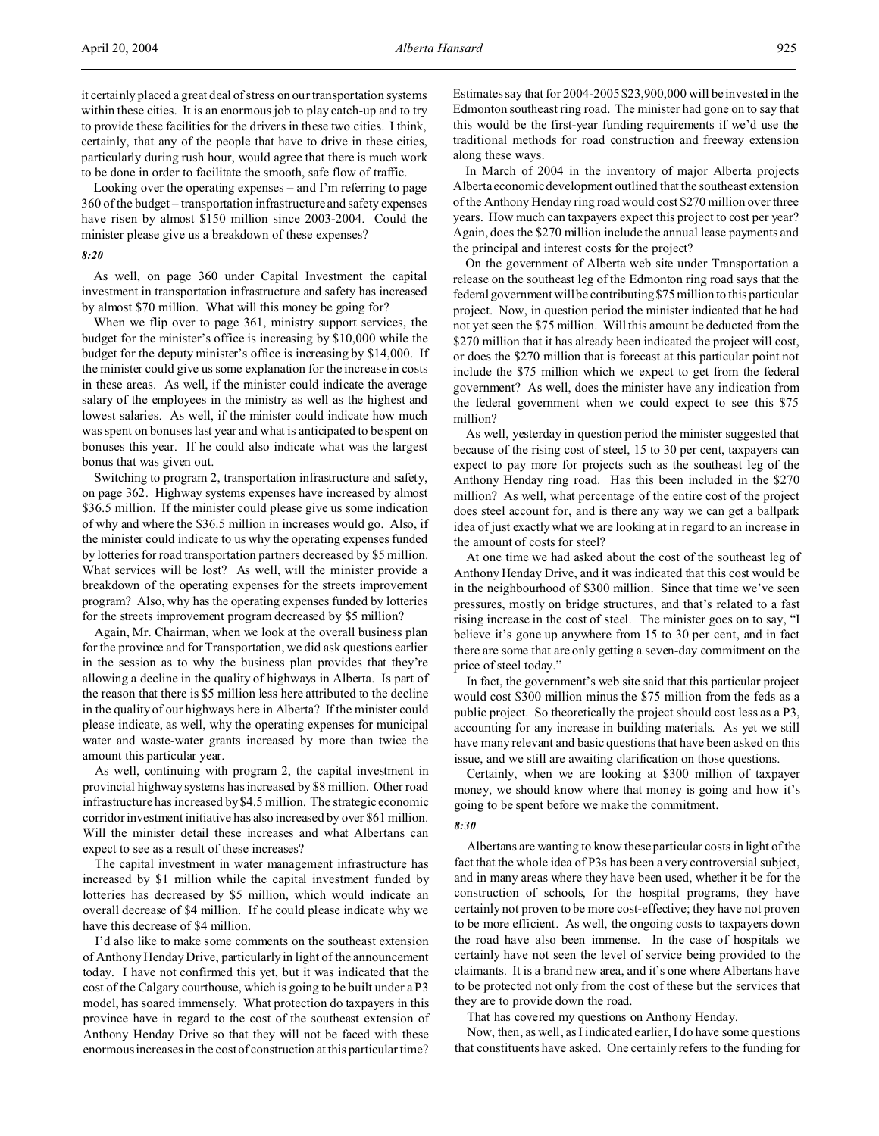it certainly placed a great deal of stress on our transportation systems within these cities. It is an enormous job to play catch-up and to try to provide these facilities for the drivers in these two cities. I think, certainly, that any of the people that have to drive in these cities, particularly during rush hour, would agree that there is much work to be done in order to facilitate the smooth, safe flow of traffic.

Looking over the operating expenses – and I'm referring to page 360 of the budget – transportation infrastructure and safety expenses have risen by almost \$150 million since 2003-2004. Could the minister please give us a breakdown of these expenses?

## *8:20*

As well, on page 360 under Capital Investment the capital investment in transportation infrastructure and safety has increased by almost \$70 million. What will this money be going for?

When we flip over to page 361, ministry support services, the budget for the minister's office is increasing by \$10,000 while the budget for the deputy minister's office is increasing by \$14,000. If the minister could give us some explanation for the increase in costs in these areas. As well, if the minister could indicate the average salary of the employees in the ministry as well as the highest and lowest salaries. As well, if the minister could indicate how much was spent on bonuses last year and what is anticipated to be spent on bonuses this year. If he could also indicate what was the largest bonus that was given out.

Switching to program 2, transportation infrastructure and safety, on page 362. Highway systems expenses have increased by almost \$36.5 million. If the minister could please give us some indication of why and where the \$36.5 million in increases would go. Also, if the minister could indicate to us why the operating expenses funded by lotteries for road transportation partners decreased by \$5 million. What services will be lost? As well, will the minister provide a breakdown of the operating expenses for the streets improvement program? Also, why has the operating expenses funded by lotteries for the streets improvement program decreased by \$5 million?

Again, Mr. Chairman, when we look at the overall business plan for the province and for Transportation, we did ask questions earlier in the session as to why the business plan provides that they're allowing a decline in the quality of highways in Alberta. Is part of the reason that there is \$5 million less here attributed to the decline in the quality of our highways here in Alberta? If the minister could please indicate, as well, why the operating expenses for municipal water and waste-water grants increased by more than twice the amount this particular year.

As well, continuing with program 2, the capital investment in provincial highway systems has increased by \$8 million. Other road infrastructure has increased by \$4.5 million. The strategic economic corridor investment initiative has also increased by over \$61 million. Will the minister detail these increases and what Albertans can expect to see as a result of these increases?

The capital investment in water management infrastructure has increased by \$1 million while the capital investment funded by lotteries has decreased by \$5 million, which would indicate an overall decrease of \$4 million. If he could please indicate why we have this decrease of \$4 million.

I'd also like to make some comments on the southeast extension of Anthony Henday Drive, particularly in light of the announcement today. I have not confirmed this yet, but it was indicated that the cost of the Calgary courthouse, which is going to be built under a P3 model, has soared immensely. What protection do taxpayers in this province have in regard to the cost of the southeast extension of Anthony Henday Drive so that they will not be faced with these enormous increases in the cost of construction at this particular time? Estimates say that for 2004-2005 \$23,900,000 will be invested in the Edmonton southeast ring road. The minister had gone on to say that this would be the first-year funding requirements if we'd use the traditional methods for road construction and freeway extension along these ways.

In March of 2004 in the inventory of major Alberta projects Alberta economic development outlined that the southeast extension of the Anthony Henday ring road would cost \$270 million over three years. How much can taxpayers expect this project to cost per year? Again, does the \$270 million include the annual lease payments and the principal and interest costs for the project?

On the government of Alberta web site under Transportation a release on the southeast leg of the Edmonton ring road says that the federal government will be contributing \$75 million to this particular project. Now, in question period the minister indicated that he had not yet seen the \$75 million. Will this amount be deducted from the \$270 million that it has already been indicated the project will cost, or does the \$270 million that is forecast at this particular point not include the \$75 million which we expect to get from the federal government? As well, does the minister have any indication from the federal government when we could expect to see this \$75 million?

As well, yesterday in question period the minister suggested that because of the rising cost of steel, 15 to 30 per cent, taxpayers can expect to pay more for projects such as the southeast leg of the Anthony Henday ring road. Has this been included in the \$270 million? As well, what percentage of the entire cost of the project does steel account for, and is there any way we can get a ballpark idea of just exactly what we are looking at in regard to an increase in the amount of costs for steel?

At one time we had asked about the cost of the southeast leg of Anthony Henday Drive, and it was indicated that this cost would be in the neighbourhood of \$300 million. Since that time we've seen pressures, mostly on bridge structures, and that's related to a fast rising increase in the cost of steel. The minister goes on to say, "I believe it's gone up anywhere from 15 to 30 per cent, and in fact there are some that are only getting a seven-day commitment on the price of steel today."

In fact, the government's web site said that this particular project would cost \$300 million minus the \$75 million from the feds as a public project. So theoretically the project should cost less as a P3, accounting for any increase in building materials. As yet we still have many relevant and basic questions that have been asked on this issue, and we still are awaiting clarification on those questions.

Certainly, when we are looking at \$300 million of taxpayer money, we should know where that money is going and how it's going to be spent before we make the commitment.

## *8:30*

Albertans are wanting to know these particular costs in light of the fact that the whole idea of P3s has been a very controversial subject, and in many areas where they have been used, whether it be for the construction of schools, for the hospital programs, they have certainly not proven to be more cost-effective; they have not proven to be more efficient. As well, the ongoing costs to taxpayers down the road have also been immense. In the case of hospitals we certainly have not seen the level of service being provided to the claimants. It is a brand new area, and it's one where Albertans have to be protected not only from the cost of these but the services that they are to provide down the road.

That has covered my questions on Anthony Henday.

Now, then, as well, as I indicated earlier, I do have some questions that constituents have asked. One certainly refers to the funding for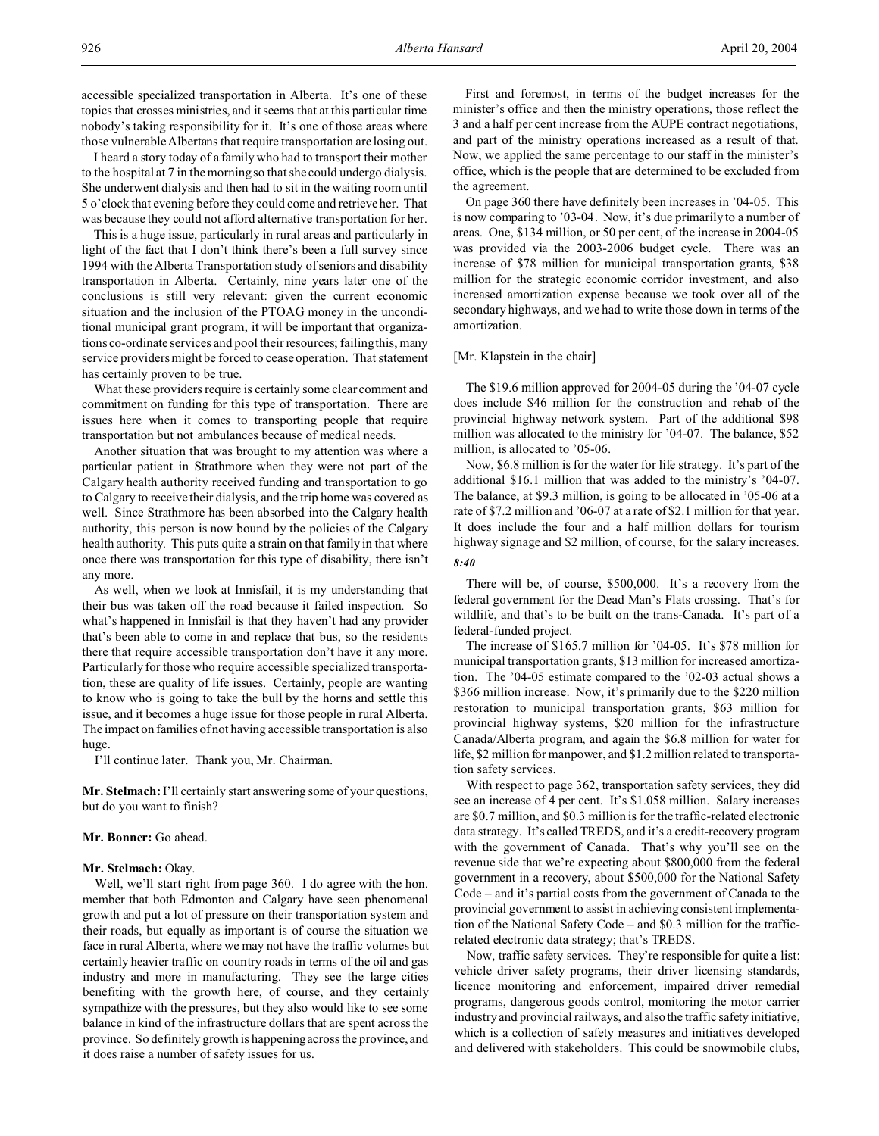accessible specialized transportation in Alberta. It's one of these topics that crosses ministries, and it seems that at this particular time nobody's taking responsibility for it. It's one of those areas where those vulnerable Albertans that require transportation are losing out.

I heard a story today of a family who had to transport their mother to the hospital at 7 in the morning so that she could undergo dialysis. She underwent dialysis and then had to sit in the waiting room until 5 o'clock that evening before they could come and retrieve her. That was because they could not afford alternative transportation for her.

This is a huge issue, particularly in rural areas and particularly in light of the fact that I don't think there's been a full survey since 1994 with the Alberta Transportation study of seniors and disability transportation in Alberta. Certainly, nine years later one of the conclusions is still very relevant: given the current economic situation and the inclusion of the PTOAG money in the unconditional municipal grant program, it will be important that organizations co-ordinate services and pool their resources; failing this, many service providers might be forced to cease operation. That statement has certainly proven to be true.

What these providers require is certainly some clear comment and commitment on funding for this type of transportation. There are issues here when it comes to transporting people that require transportation but not ambulances because of medical needs.

Another situation that was brought to my attention was where a particular patient in Strathmore when they were not part of the Calgary health authority received funding and transportation to go to Calgary to receive their dialysis, and the trip home was covered as well. Since Strathmore has been absorbed into the Calgary health authority, this person is now bound by the policies of the Calgary health authority. This puts quite a strain on that family in that where once there was transportation for this type of disability, there isn't any more.

As well, when we look at Innisfail, it is my understanding that their bus was taken off the road because it failed inspection. So what's happened in Innisfail is that they haven't had any provider that's been able to come in and replace that bus, so the residents there that require accessible transportation don't have it any more. Particularly for those who require accessible specialized transportation, these are quality of life issues. Certainly, people are wanting to know who is going to take the bull by the horns and settle this issue, and it becomes a huge issue for those people in rural Alberta. The impact on families of not having accessible transportation is also huge.

I'll continue later. Thank you, Mr. Chairman.

**Mr. Stelmach:** I'll certainly start answering some of your questions, but do you want to finish?

## **Mr. Bonner:** Go ahead.

## **Mr. Stelmach:** Okay.

Well, we'll start right from page 360. I do agree with the hon. member that both Edmonton and Calgary have seen phenomenal growth and put a lot of pressure on their transportation system and their roads, but equally as important is of course the situation we face in rural Alberta, where we may not have the traffic volumes but certainly heavier traffic on country roads in terms of the oil and gas industry and more in manufacturing. They see the large cities benefiting with the growth here, of course, and they certainly sympathize with the pressures, but they also would like to see some balance in kind of the infrastructure dollars that are spent across the province. So definitely growth is happening across the province, and it does raise a number of safety issues for us.

First and foremost, in terms of the budget increases for the minister's office and then the ministry operations, those reflect the 3 and a half per cent increase from the AUPE contract negotiations, and part of the ministry operations increased as a result of that. Now, we applied the same percentage to our staff in the minister's office, which is the people that are determined to be excluded from the agreement.

On page 360 there have definitely been increases in '04-05. This is now comparing to '03-04. Now, it's due primarily to a number of areas. One, \$134 million, or 50 per cent, of the increase in 2004-05 was provided via the 2003-2006 budget cycle. There was an increase of \$78 million for municipal transportation grants, \$38 million for the strategic economic corridor investment, and also increased amortization expense because we took over all of the secondary highways, and we had to write those down in terms of the amortization.

## [Mr. Klapstein in the chair]

The \$19.6 million approved for 2004-05 during the '04-07 cycle does include \$46 million for the construction and rehab of the provincial highway network system. Part of the additional \$98 million was allocated to the ministry for '04-07. The balance, \$52 million, is allocated to '05-06.

Now, \$6.8 million is for the water for life strategy. It's part of the additional \$16.1 million that was added to the ministry's '04-07. The balance, at \$9.3 million, is going to be allocated in '05-06 at a rate of \$7.2 million and '06-07 at a rate of \$2.1 million for that year. It does include the four and a half million dollars for tourism highway signage and \$2 million, of course, for the salary increases. *8:40*

There will be, of course, \$500,000. It's a recovery from the federal government for the Dead Man's Flats crossing. That's for wildlife, and that's to be built on the trans-Canada. It's part of a federal-funded project.

The increase of \$165.7 million for '04-05. It's \$78 million for municipal transportation grants, \$13 million for increased amortization. The '04-05 estimate compared to the '02-03 actual shows a \$366 million increase. Now, it's primarily due to the \$220 million restoration to municipal transportation grants, \$63 million for provincial highway systems, \$20 million for the infrastructure Canada/Alberta program, and again the \$6.8 million for water for life, \$2 million for manpower, and \$1.2 million related to transportation safety services.

With respect to page 362, transportation safety services, they did see an increase of 4 per cent. It's \$1.058 million. Salary increases are \$0.7 million, and \$0.3 million is for the traffic-related electronic data strategy. It's called TREDS, and it's a credit-recovery program with the government of Canada. That's why you'll see on the revenue side that we're expecting about \$800,000 from the federal government in a recovery, about \$500,000 for the National Safety Code – and it's partial costs from the government of Canada to the provincial government to assist in achieving consistent implementation of the National Safety Code – and \$0.3 million for the trafficrelated electronic data strategy; that's TREDS.

Now, traffic safety services. They're responsible for quite a list: vehicle driver safety programs, their driver licensing standards, licence monitoring and enforcement, impaired driver remedial programs, dangerous goods control, monitoring the motor carrier industry and provincial railways, and also the traffic safety initiative, which is a collection of safety measures and initiatives developed and delivered with stakeholders. This could be snowmobile clubs,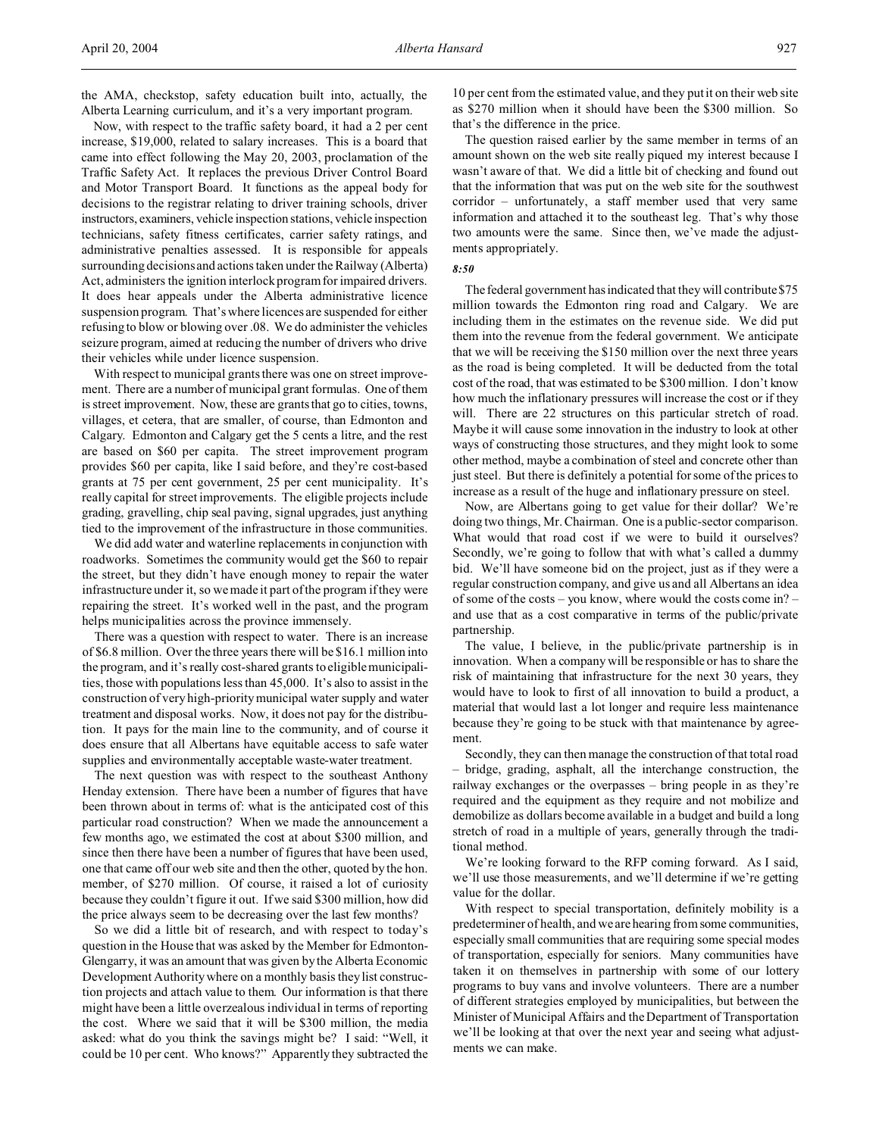the AMA, checkstop, safety education built into, actually, the Alberta Learning curriculum, and it's a very important program.

Now, with respect to the traffic safety board, it had a 2 per cent increase, \$19,000, related to salary increases. This is a board that came into effect following the May 20, 2003, proclamation of the Traffic Safety Act. It replaces the previous Driver Control Board and Motor Transport Board. It functions as the appeal body for decisions to the registrar relating to driver training schools, driver instructors, examiners, vehicle inspection stations, vehicle inspection technicians, safety fitness certificates, carrier safety ratings, and administrative penalties assessed. It is responsible for appeals surrounding decisions and actions taken under the Railway (Alberta) Act, administers the ignition interlock program for impaired drivers. It does hear appeals under the Alberta administrative licence suspension program. That's where licences are suspended for either refusing to blow or blowing over .08. We do administer the vehicles seizure program, aimed at reducing the number of drivers who drive their vehicles while under licence suspension.

With respect to municipal grants there was one on street improvement. There are a number of municipal grant formulas. One of them is street improvement. Now, these are grants that go to cities, towns, villages, et cetera, that are smaller, of course, than Edmonton and Calgary. Edmonton and Calgary get the 5 cents a litre, and the rest are based on \$60 per capita. The street improvement program provides \$60 per capita, like I said before, and they're cost-based grants at 75 per cent government, 25 per cent municipality. It's really capital for street improvements. The eligible projects include grading, gravelling, chip seal paving, signal upgrades, just anything tied to the improvement of the infrastructure in those communities.

We did add water and waterline replacements in conjunction with roadworks. Sometimes the community would get the \$60 to repair the street, but they didn't have enough money to repair the water infrastructure under it, so we made it part of the program if they were repairing the street. It's worked well in the past, and the program helps municipalities across the province immensely.

There was a question with respect to water. There is an increase of \$6.8 million. Over the three years there will be \$16.1 million into the program, and it's really cost-shared grants to eligible municipalities, those with populations less than 45,000. It's also to assist in the construction of very high-priority municipal water supply and water treatment and disposal works. Now, it does not pay for the distribution. It pays for the main line to the community, and of course it does ensure that all Albertans have equitable access to safe water supplies and environmentally acceptable waste-water treatment.

The next question was with respect to the southeast Anthony Henday extension. There have been a number of figures that have been thrown about in terms of: what is the anticipated cost of this particular road construction? When we made the announcement a few months ago, we estimated the cost at about \$300 million, and since then there have been a number of figures that have been used, one that came off our web site and then the other, quoted by the hon. member, of \$270 million. Of course, it raised a lot of curiosity because they couldn't figure it out. If we said \$300 million, how did the price always seem to be decreasing over the last few months?

So we did a little bit of research, and with respect to today's question in the House that was asked by the Member for Edmonton-Glengarry, it was an amount that was given by the Alberta Economic Development Authority where on a monthly basis they list construction projects and attach value to them. Our information is that there might have been a little overzealous individual in terms of reporting the cost. Where we said that it will be \$300 million, the media asked: what do you think the savings might be? I said: "Well, it could be 10 per cent. Who knows?" Apparently they subtracted the

10 per cent from the estimated value, and they put it on their web site as \$270 million when it should have been the \$300 million. So that's the difference in the price.

The question raised earlier by the same member in terms of an amount shown on the web site really piqued my interest because I wasn't aware of that. We did a little bit of checking and found out that the information that was put on the web site for the southwest corridor – unfortunately, a staff member used that very same information and attached it to the southeast leg. That's why those two amounts were the same. Since then, we've made the adjustments appropriately.

## *8:50*

The federal government has indicated that they will contribute \$75 million towards the Edmonton ring road and Calgary. We are including them in the estimates on the revenue side. We did put them into the revenue from the federal government. We anticipate that we will be receiving the \$150 million over the next three years as the road is being completed. It will be deducted from the total cost of the road, that was estimated to be \$300 million. I don't know how much the inflationary pressures will increase the cost or if they will. There are 22 structures on this particular stretch of road. Maybe it will cause some innovation in the industry to look at other ways of constructing those structures, and they might look to some other method, maybe a combination of steel and concrete other than just steel. But there is definitely a potential for some of the prices to increase as a result of the huge and inflationary pressure on steel.

Now, are Albertans going to get value for their dollar? We're doing two things, Mr. Chairman. One is a public-sector comparison. What would that road cost if we were to build it ourselves? Secondly, we're going to follow that with what's called a dummy bid. We'll have someone bid on the project, just as if they were a regular construction company, and give us and all Albertans an idea of some of the costs – you know, where would the costs come in? – and use that as a cost comparative in terms of the public/private partnership.

The value, I believe, in the public/private partnership is in innovation. When a company will be responsible or has to share the risk of maintaining that infrastructure for the next 30 years, they would have to look to first of all innovation to build a product, a material that would last a lot longer and require less maintenance because they're going to be stuck with that maintenance by agreement.

Secondly, they can then manage the construction of that total road – bridge, grading, asphalt, all the interchange construction, the railway exchanges or the overpasses – bring people in as they're required and the equipment as they require and not mobilize and demobilize as dollars become available in a budget and build a long stretch of road in a multiple of years, generally through the traditional method.

We're looking forward to the RFP coming forward. As I said, we'll use those measurements, and we'll determine if we're getting value for the dollar.

With respect to special transportation, definitely mobility is a predeterminer of health, and we are hearing from some communities, especially small communities that are requiring some special modes of transportation, especially for seniors. Many communities have taken it on themselves in partnership with some of our lottery programs to buy vans and involve volunteers. There are a number of different strategies employed by municipalities, but between the Minister of Municipal Affairs and the Department of Transportation we'll be looking at that over the next year and seeing what adjustments we can make.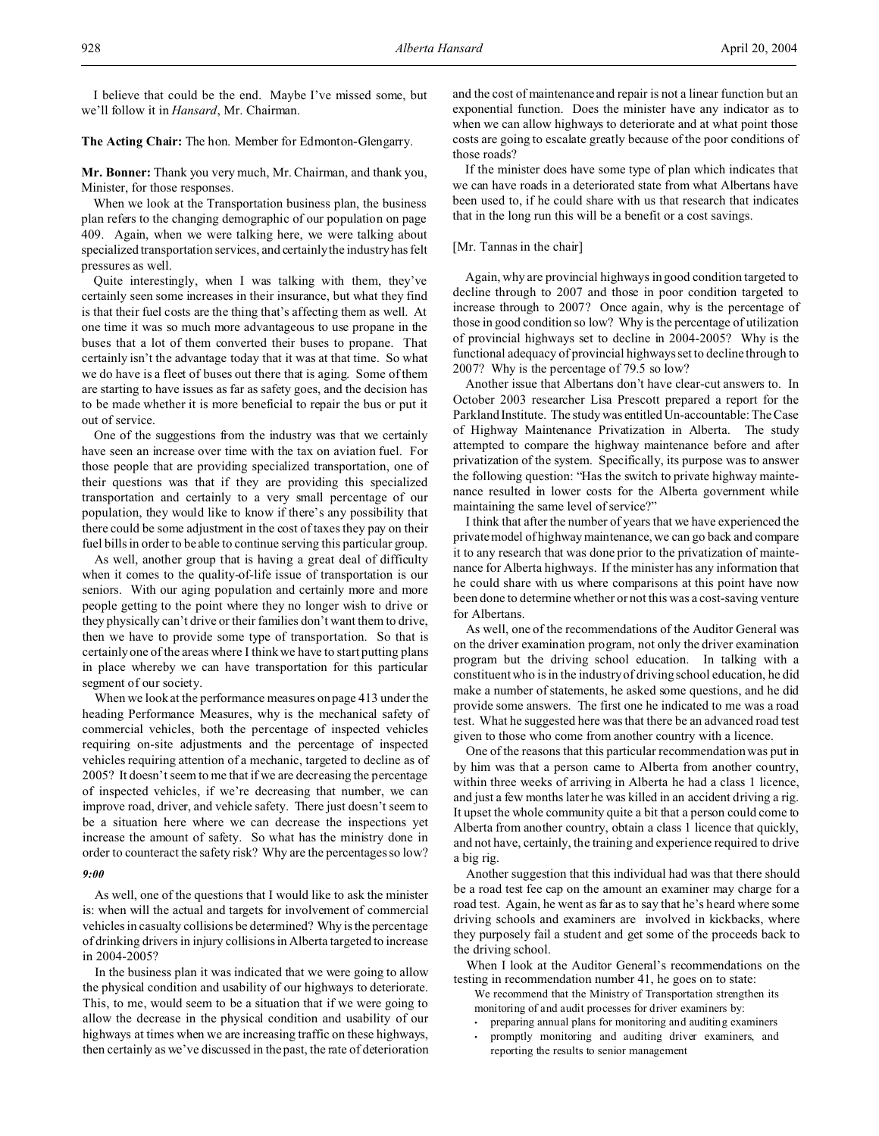I believe that could be the end. Maybe I've missed some, but we'll follow it in *Hansard*, Mr. Chairman.

## **The Acting Chair:** The hon. Member for Edmonton-Glengarry.

**Mr. Bonner:** Thank you very much, Mr. Chairman, and thank you, Minister, for those responses.

When we look at the Transportation business plan, the business plan refers to the changing demographic of our population on page 409. Again, when we were talking here, we were talking about specialized transportation services, and certainly the industry has felt pressures as well.

Quite interestingly, when I was talking with them, they've certainly seen some increases in their insurance, but what they find is that their fuel costs are the thing that's affecting them as well. At one time it was so much more advantageous to use propane in the buses that a lot of them converted their buses to propane. That certainly isn't the advantage today that it was at that time. So what we do have is a fleet of buses out there that is aging. Some of them are starting to have issues as far as safety goes, and the decision has to be made whether it is more beneficial to repair the bus or put it out of service.

One of the suggestions from the industry was that we certainly have seen an increase over time with the tax on aviation fuel. For those people that are providing specialized transportation, one of their questions was that if they are providing this specialized transportation and certainly to a very small percentage of our population, they would like to know if there's any possibility that there could be some adjustment in the cost of taxes they pay on their fuel bills in order to be able to continue serving this particular group.

As well, another group that is having a great deal of difficulty when it comes to the quality-of-life issue of transportation is our seniors. With our aging population and certainly more and more people getting to the point where they no longer wish to drive or they physically can't drive or their families don't want them to drive, then we have to provide some type of transportation. So that is certainly one of the areas where I think we have to start putting plans in place whereby we can have transportation for this particular segment of our society.

When we look at the performance measures on page 413 under the heading Performance Measures, why is the mechanical safety of commercial vehicles, both the percentage of inspected vehicles requiring on-site adjustments and the percentage of inspected vehicles requiring attention of a mechanic, targeted to decline as of 2005? It doesn't seem to me that if we are decreasing the percentage of inspected vehicles, if we're decreasing that number, we can improve road, driver, and vehicle safety. There just doesn't seem to be a situation here where we can decrease the inspections yet increase the amount of safety. So what has the ministry done in order to counteract the safety risk? Why are the percentages so low? *9:00*

As well, one of the questions that I would like to ask the minister is: when will the actual and targets for involvement of commercial vehicles in casualty collisions be determined? Why is the percentage of drinking drivers in injury collisions in Alberta targeted to increase in 2004-2005?

In the business plan it was indicated that we were going to allow the physical condition and usability of our highways to deteriorate. This, to me, would seem to be a situation that if we were going to allow the decrease in the physical condition and usability of our highways at times when we are increasing traffic on these highways, then certainly as we've discussed in the past, the rate of deterioration and the cost of maintenance and repair is not a linear function but an exponential function. Does the minister have any indicator as to when we can allow highways to deteriorate and at what point those costs are going to escalate greatly because of the poor conditions of those roads?

If the minister does have some type of plan which indicates that we can have roads in a deteriorated state from what Albertans have been used to, if he could share with us that research that indicates that in the long run this will be a benefit or a cost savings.

## [Mr. Tannas in the chair]

Again, why are provincial highways in good condition targeted to decline through to 2007 and those in poor condition targeted to increase through to 2007? Once again, why is the percentage of those in good condition so low? Why is the percentage of utilization of provincial highways set to decline in 2004-2005? Why is the functional adequacy of provincial highways set to decline through to 2007? Why is the percentage of 79.5 so low?

Another issue that Albertans don't have clear-cut answers to. In October 2003 researcher Lisa Prescott prepared a report for the Parkland Institute. The study was entitled Un-accountable: The Case of Highway Maintenance Privatization in Alberta. The study attempted to compare the highway maintenance before and after privatization of the system. Specifically, its purpose was to answer the following question: "Has the switch to private highway maintenance resulted in lower costs for the Alberta government while maintaining the same level of service?"

I think that after the number of years that we have experienced the private model of highway maintenance, we can go back and compare it to any research that was done prior to the privatization of maintenance for Alberta highways. If the minister has any information that he could share with us where comparisons at this point have now been done to determine whether or not this was a cost-saving venture for Albertans.

As well, one of the recommendations of the Auditor General was on the driver examination program, not only the driver examination program but the driving school education. In talking with a constituent who is in the industry of driving school education, he did make a number of statements, he asked some questions, and he did provide some answers. The first one he indicated to me was a road test. What he suggested here was that there be an advanced road test given to those who come from another country with a licence.

One of the reasons that this particular recommendation was put in by him was that a person came to Alberta from another country, within three weeks of arriving in Alberta he had a class 1 licence, and just a few months later he was killed in an accident driving a rig. It upset the whole community quite a bit that a person could come to Alberta from another country, obtain a class 1 licence that quickly, and not have, certainly, the training and experience required to drive a big rig.

Another suggestion that this individual had was that there should be a road test fee cap on the amount an examiner may charge for a road test. Again, he went as far as to say that he's heard where some driving schools and examiners are involved in kickbacks, where they purposely fail a student and get some of the proceeds back to the driving school.

When I look at the Auditor General's recommendations on the testing in recommendation number 41, he goes on to state:

- We recommend that the Ministry of Transportation strengthen its monitoring of and audit processes for driver examiners by:
- preparing annual plans for monitoring and auditing examiners
- promptly monitoring and auditing driver examiners, and reporting the results to senior management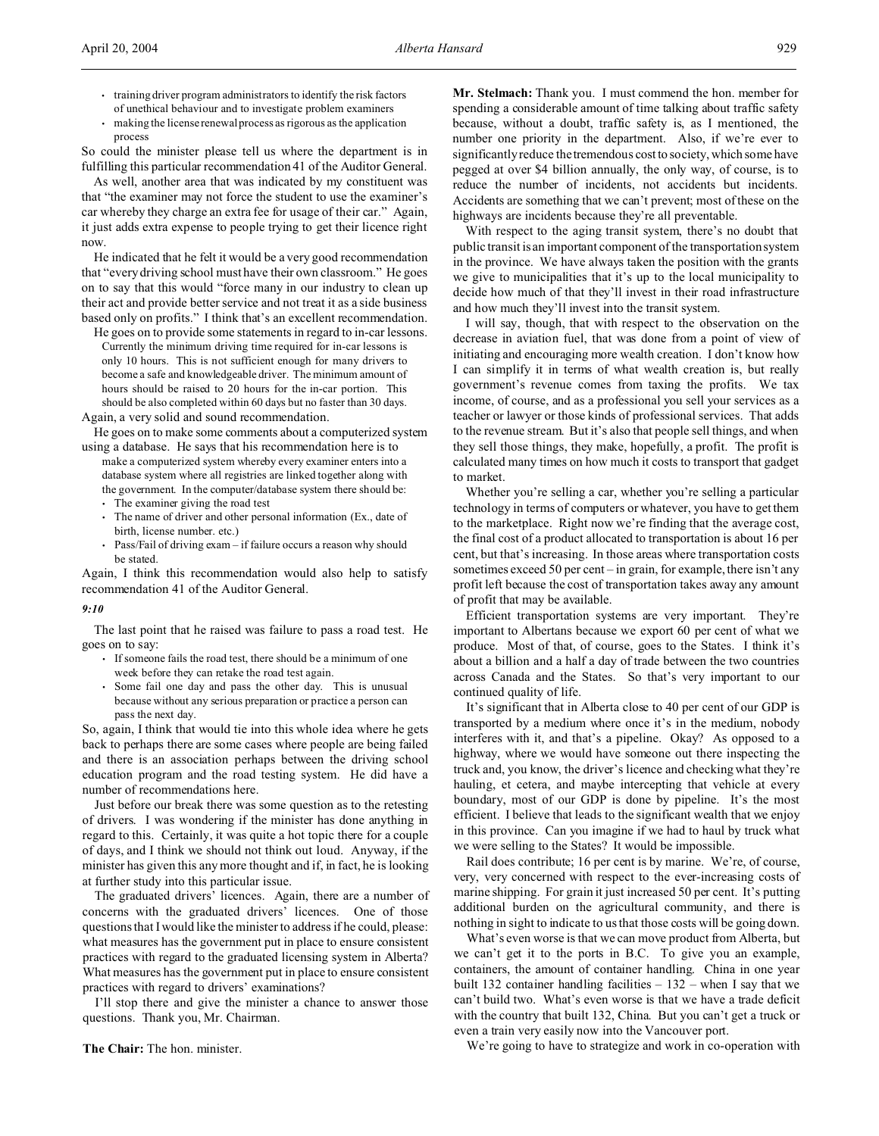- training driver program administrators to identify the risk factors of unethical behaviour and to investigate problem examiners
- making the license renewal process as rigorous as the application process

So could the minister please tell us where the department is in fulfilling this particular recommendation 41 of the Auditor General.

As well, another area that was indicated by my constituent was that "the examiner may not force the student to use the examiner's car whereby they charge an extra fee for usage of their car." Again, it just adds extra expense to people trying to get their licence right now.

He indicated that he felt it would be a very good recommendation that "every driving school must have their own classroom." He goes on to say that this would "force many in our industry to clean up their act and provide better service and not treat it as a side business based only on profits." I think that's an excellent recommendation.

He goes on to provide some statements in regard to in-car lessons. Currently the minimum driving time required for in-car lessons is only 10 hours. This is not sufficient enough for many drivers to become a safe and knowledgeable driver. The minimum amount of hours should be raised to 20 hours for the in-car portion. This should be also completed within 60 days but no faster than 30 days.

Again, a very solid and sound recommendation.

He goes on to make some comments about a computerized system using a database. He says that his recommendation here is to

make a computerized system whereby every examiner enters into a database system where all registries are linked together along with the government. In the computer/database system there should be:

- The examiner giving the road test
- The name of driver and other personal information (Ex., date of birth, license number. etc.)
- Pass/Fail of driving exam if failure occurs a reason why should be stated.

Again, I think this recommendation would also help to satisfy recommendation 41 of the Auditor General.

#### *9:10*

The last point that he raised was failure to pass a road test. He goes on to say:

- If someone fails the road test, there should be a minimum of one week before they can retake the road test again.
- Some fail one day and pass the other day. This is unusual because without any serious preparation or practice a person can pass the next day.

So, again, I think that would tie into this whole idea where he gets back to perhaps there are some cases where people are being failed and there is an association perhaps between the driving school education program and the road testing system. He did have a number of recommendations here.

Just before our break there was some question as to the retesting of drivers. I was wondering if the minister has done anything in regard to this. Certainly, it was quite a hot topic there for a couple of days, and I think we should not think out loud. Anyway, if the minister has given this any more thought and if, in fact, he is looking at further study into this particular issue.

The graduated drivers' licences. Again, there are a number of concerns with the graduated drivers' licences. One of those questions that I would like the minister to address if he could, please: what measures has the government put in place to ensure consistent practices with regard to the graduated licensing system in Alberta? What measures has the government put in place to ensure consistent practices with regard to drivers' examinations?

I'll stop there and give the minister a chance to answer those questions. Thank you, Mr. Chairman.

**The Chair:** The hon. minister.

**Mr. Stelmach:** Thank you. I must commend the hon. member for spending a considerable amount of time talking about traffic safety because, without a doubt, traffic safety is, as I mentioned, the number one priority in the department. Also, if we're ever to significantly reduce the tremendous cost to society, which some have pegged at over \$4 billion annually, the only way, of course, is to reduce the number of incidents, not accidents but incidents. Accidents are something that we can't prevent; most of these on the highways are incidents because they're all preventable.

With respect to the aging transit system, there's no doubt that public transit is an important component of the transportation system in the province. We have always taken the position with the grants we give to municipalities that it's up to the local municipality to decide how much of that they'll invest in their road infrastructure and how much they'll invest into the transit system.

I will say, though, that with respect to the observation on the decrease in aviation fuel, that was done from a point of view of initiating and encouraging more wealth creation. I don't know how I can simplify it in terms of what wealth creation is, but really government's revenue comes from taxing the profits. We tax income, of course, and as a professional you sell your services as a teacher or lawyer or those kinds of professional services. That adds to the revenue stream. But it's also that people sell things, and when they sell those things, they make, hopefully, a profit. The profit is calculated many times on how much it costs to transport that gadget to market.

Whether you're selling a car, whether you're selling a particular technology in terms of computers or whatever, you have to get them to the marketplace. Right now we're finding that the average cost, the final cost of a product allocated to transportation is about 16 per cent, but that's increasing. In those areas where transportation costs sometimes exceed 50 per cent – in grain, for example, there isn't any profit left because the cost of transportation takes away any amount of profit that may be available.

Efficient transportation systems are very important. They're important to Albertans because we export 60 per cent of what we produce. Most of that, of course, goes to the States. I think it's about a billion and a half a day of trade between the two countries across Canada and the States. So that's very important to our continued quality of life.

It's significant that in Alberta close to 40 per cent of our GDP is transported by a medium where once it's in the medium, nobody interferes with it, and that's a pipeline. Okay? As opposed to a highway, where we would have someone out there inspecting the truck and, you know, the driver's licence and checking what they're hauling, et cetera, and maybe intercepting that vehicle at every boundary, most of our GDP is done by pipeline. It's the most efficient. I believe that leads to the significant wealth that we enjoy in this province. Can you imagine if we had to haul by truck what we were selling to the States? It would be impossible.

Rail does contribute; 16 per cent is by marine. We're, of course, very, very concerned with respect to the ever-increasing costs of marine shipping. For grain it just increased 50 per cent. It's putting additional burden on the agricultural community, and there is nothing in sight to indicate to us that those costs will be going down.

What's even worse is that we can move product from Alberta, but we can't get it to the ports in B.C. To give you an example, containers, the amount of container handling. China in one year built 132 container handling facilities – 132 – when I say that we can't build two. What's even worse is that we have a trade deficit with the country that built 132, China. But you can't get a truck or even a train very easily now into the Vancouver port.

We're going to have to strategize and work in co-operation with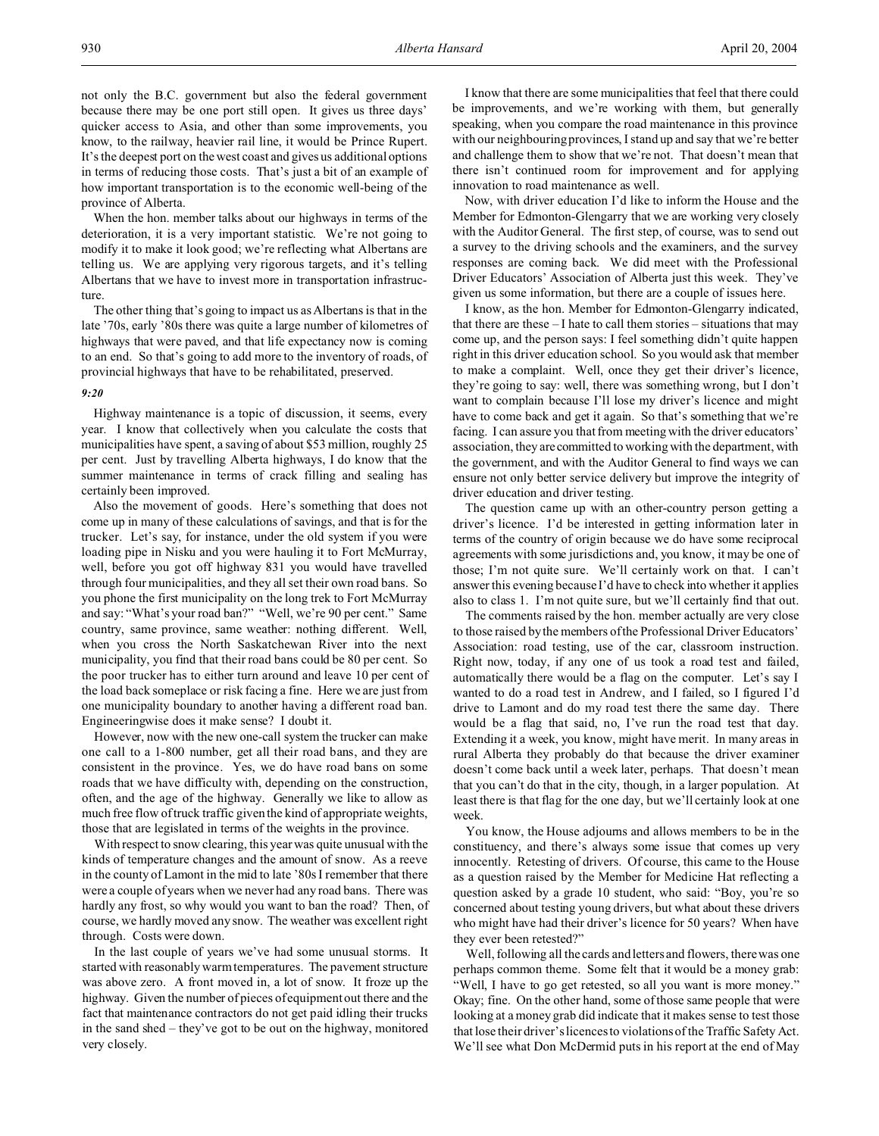not only the B.C. government but also the federal government because there may be one port still open. It gives us three days' quicker access to Asia, and other than some improvements, you know, to the railway, heavier rail line, it would be Prince Rupert. It's the deepest port on the west coast and gives us additional options in terms of reducing those costs. That's just a bit of an example of how important transportation is to the economic well-being of the province of Alberta.

When the hon. member talks about our highways in terms of the deterioration, it is a very important statistic. We're not going to modify it to make it look good; we're reflecting what Albertans are telling us. We are applying very rigorous targets, and it's telling Albertans that we have to invest more in transportation infrastructure.

The other thing that's going to impact us as Albertans is that in the late '70s, early '80s there was quite a large number of kilometres of highways that were paved, and that life expectancy now is coming to an end. So that's going to add more to the inventory of roads, of provincial highways that have to be rehabilitated, preserved.

## *9:20*

Highway maintenance is a topic of discussion, it seems, every year. I know that collectively when you calculate the costs that municipalities have spent, a saving of about \$53 million, roughly 25 per cent. Just by travelling Alberta highways, I do know that the summer maintenance in terms of crack filling and sealing has certainly been improved.

Also the movement of goods. Here's something that does not come up in many of these calculations of savings, and that is for the trucker. Let's say, for instance, under the old system if you were loading pipe in Nisku and you were hauling it to Fort McMurray, well, before you got off highway 831 you would have travelled through four municipalities, and they all set their own road bans. So you phone the first municipality on the long trek to Fort McMurray and say: "What's your road ban?" "Well, we're 90 per cent." Same country, same province, same weather: nothing different. Well, when you cross the North Saskatchewan River into the next municipality, you find that their road bans could be 80 per cent. So the poor trucker has to either turn around and leave 10 per cent of the load back someplace or risk facing a fine. Here we are just from one municipality boundary to another having a different road ban. Engineeringwise does it make sense? I doubt it.

However, now with the new one-call system the trucker can make one call to a 1-800 number, get all their road bans, and they are consistent in the province. Yes, we do have road bans on some roads that we have difficulty with, depending on the construction, often, and the age of the highway. Generally we like to allow as much free flow of truck traffic given the kind of appropriate weights, those that are legislated in terms of the weights in the province.

With respect to snow clearing, this year was quite unusual with the kinds of temperature changes and the amount of snow. As a reeve in the county of Lamont in the mid to late '80s I remember that there were a couple of years when we never had any road bans. There was hardly any frost, so why would you want to ban the road? Then, of course, we hardly moved any snow. The weather was excellent right through. Costs were down.

In the last couple of years we've had some unusual storms. It started with reasonably warm temperatures. The pavement structure was above zero. A front moved in, a lot of snow. It froze up the highway. Given the number of pieces of equipment out there and the fact that maintenance contractors do not get paid idling their trucks in the sand shed – they've got to be out on the highway, monitored very closely.

I know that there are some municipalities that feel that there could be improvements, and we're working with them, but generally speaking, when you compare the road maintenance in this province with our neighbouring provinces, I stand up and say that we're better and challenge them to show that we're not. That doesn't mean that there isn't continued room for improvement and for applying innovation to road maintenance as well.

Now, with driver education I'd like to inform the House and the Member for Edmonton-Glengarry that we are working very closely with the Auditor General. The first step, of course, was to send out a survey to the driving schools and the examiners, and the survey responses are coming back. We did meet with the Professional Driver Educators' Association of Alberta just this week. They've given us some information, but there are a couple of issues here.

I know, as the hon. Member for Edmonton-Glengarry indicated, that there are these – I hate to call them stories – situations that may come up, and the person says: I feel something didn't quite happen right in this driver education school. So you would ask that member to make a complaint. Well, once they get their driver's licence, they're going to say: well, there was something wrong, but I don't want to complain because I'll lose my driver's licence and might have to come back and get it again. So that's something that we're facing. I can assure you that from meeting with the driver educators' association, they are committed to working with the department, with the government, and with the Auditor General to find ways we can ensure not only better service delivery but improve the integrity of driver education and driver testing.

The question came up with an other-country person getting a driver's licence. I'd be interested in getting information later in terms of the country of origin because we do have some reciprocal agreements with some jurisdictions and, you know, it may be one of those; I'm not quite sure. We'll certainly work on that. I can't answer this evening because I'd have to check into whether it applies also to class 1. I'm not quite sure, but we'll certainly find that out.

The comments raised by the hon. member actually are very close to those raised by the members of the Professional Driver Educators' Association: road testing, use of the car, classroom instruction. Right now, today, if any one of us took a road test and failed, automatically there would be a flag on the computer. Let's say I wanted to do a road test in Andrew, and I failed, so I figured I'd drive to Lamont and do my road test there the same day. There would be a flag that said, no, I've run the road test that day. Extending it a week, you know, might have merit. In many areas in rural Alberta they probably do that because the driver examiner doesn't come back until a week later, perhaps. That doesn't mean that you can't do that in the city, though, in a larger population. At least there is that flag for the one day, but we'll certainly look at one week.

You know, the House adjourns and allows members to be in the constituency, and there's always some issue that comes up very innocently. Retesting of drivers. Of course, this came to the House as a question raised by the Member for Medicine Hat reflecting a question asked by a grade 10 student, who said: "Boy, you're so concerned about testing young drivers, but what about these drivers who might have had their driver's licence for 50 years? When have they ever been retested?"

Well, following all the cards and letters and flowers, there was one perhaps common theme. Some felt that it would be a money grab: "Well, I have to go get retested, so all you want is more money." Okay; fine. On the other hand, some of those same people that were looking at a money grab did indicate that it makes sense to test those that lose their driver's licences to violations of the Traffic Safety Act. We'll see what Don McDermid puts in his report at the end of May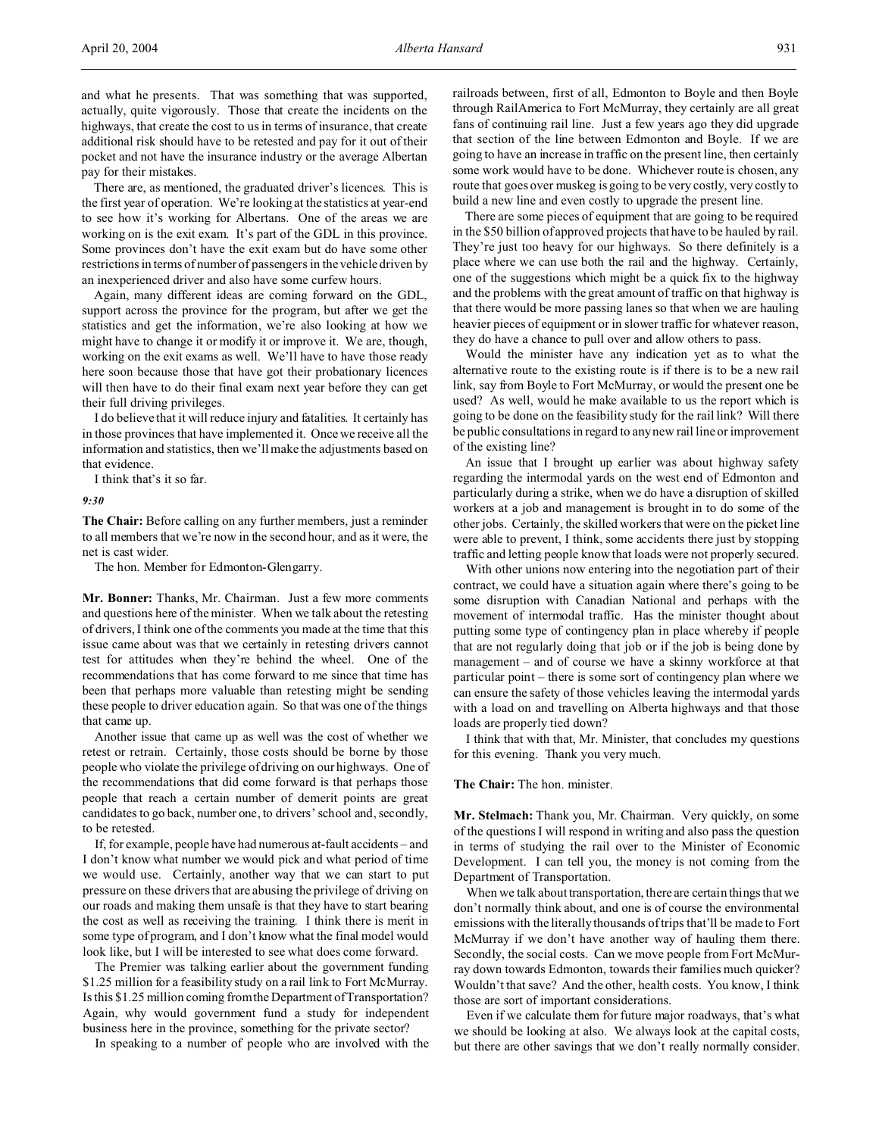and what he presents. That was something that was supported, actually, quite vigorously. Those that create the incidents on the highways, that create the cost to us in terms of insurance, that create additional risk should have to be retested and pay for it out of their pocket and not have the insurance industry or the average Albertan pay for their mistakes.

There are, as mentioned, the graduated driver's licences. This is the first year of operation. We're looking at the statistics at year-end to see how it's working for Albertans. One of the areas we are working on is the exit exam. It's part of the GDL in this province. Some provinces don't have the exit exam but do have some other restrictions in terms of number of passengers in the vehicle driven by an inexperienced driver and also have some curfew hours.

Again, many different ideas are coming forward on the GDL, support across the province for the program, but after we get the statistics and get the information, we're also looking at how we might have to change it or modify it or improve it. We are, though, working on the exit exams as well. We'll have to have those ready here soon because those that have got their probationary licences will then have to do their final exam next year before they can get their full driving privileges.

I do believe that it will reduce injury and fatalities. It certainly has in those provinces that have implemented it. Once we receive all the information and statistics, then we'll make the adjustments based on that evidence.

I think that's it so far.

*9:30*

**The Chair:** Before calling on any further members, just a reminder to all members that we're now in the second hour, and as it were, the net is cast wider.

The hon. Member for Edmonton-Glengarry.

**Mr. Bonner:** Thanks, Mr. Chairman. Just a few more comments and questions here of the minister. When we talk about the retesting of drivers, I think one of the comments you made at the time that this issue came about was that we certainly in retesting drivers cannot test for attitudes when they're behind the wheel. One of the recommendations that has come forward to me since that time has been that perhaps more valuable than retesting might be sending these people to driver education again. So that was one of the things that came up.

Another issue that came up as well was the cost of whether we retest or retrain. Certainly, those costs should be borne by those people who violate the privilege of driving on our highways. One of the recommendations that did come forward is that perhaps those people that reach a certain number of demerit points are great candidates to go back, number one, to drivers' school and, secondly, to be retested.

If, for example, people have had numerous at-fault accidents – and I don't know what number we would pick and what period of time we would use. Certainly, another way that we can start to put pressure on these drivers that are abusing the privilege of driving on our roads and making them unsafe is that they have to start bearing the cost as well as receiving the training. I think there is merit in some type of program, and I don't know what the final model would look like, but I will be interested to see what does come forward.

The Premier was talking earlier about the government funding \$1.25 million for a feasibility study on a rail link to Fort McMurray. Is this \$1.25 million coming from the Department of Transportation? Again, why would government fund a study for independent business here in the province, something for the private sector?

In speaking to a number of people who are involved with the

railroads between, first of all, Edmonton to Boyle and then Boyle through RailAmerica to Fort McMurray, they certainly are all great fans of continuing rail line. Just a few years ago they did upgrade that section of the line between Edmonton and Boyle. If we are going to have an increase in traffic on the present line, then certainly some work would have to be done. Whichever route is chosen, any route that goes over muskeg is going to be very costly, very costly to build a new line and even costly to upgrade the present line.

There are some pieces of equipment that are going to be required in the \$50 billion of approved projects that have to be hauled by rail. They're just too heavy for our highways. So there definitely is a place where we can use both the rail and the highway. Certainly, one of the suggestions which might be a quick fix to the highway and the problems with the great amount of traffic on that highway is that there would be more passing lanes so that when we are hauling heavier pieces of equipment or in slower traffic for whatever reason, they do have a chance to pull over and allow others to pass.

Would the minister have any indication yet as to what the alternative route to the existing route is if there is to be a new rail link, say from Boyle to Fort McMurray, or would the present one be used? As well, would he make available to us the report which is going to be done on the feasibility study for the rail link? Will there be public consultations in regard to any new rail line or improvement of the existing line?

An issue that I brought up earlier was about highway safety regarding the intermodal yards on the west end of Edmonton and particularly during a strike, when we do have a disruption of skilled workers at a job and management is brought in to do some of the other jobs. Certainly, the skilled workers that were on the picket line were able to prevent, I think, some accidents there just by stopping traffic and letting people know that loads were not properly secured.

With other unions now entering into the negotiation part of their contract, we could have a situation again where there's going to be some disruption with Canadian National and perhaps with the movement of intermodal traffic. Has the minister thought about putting some type of contingency plan in place whereby if people that are not regularly doing that job or if the job is being done by management – and of course we have a skinny workforce at that particular point – there is some sort of contingency plan where we can ensure the safety of those vehicles leaving the intermodal yards with a load on and travelling on Alberta highways and that those loads are properly tied down?

I think that with that, Mr. Minister, that concludes my questions for this evening. Thank you very much.

#### **The Chair:** The hon. minister.

**Mr. Stelmach:** Thank you, Mr. Chairman. Very quickly, on some of the questions I will respond in writing and also pass the question in terms of studying the rail over to the Minister of Economic Development. I can tell you, the money is not coming from the Department of Transportation.

When we talk about transportation, there are certain things that we don't normally think about, and one is of course the environmental emissions with the literally thousands of trips that'll be made to Fort McMurray if we don't have another way of hauling them there. Secondly, the social costs. Can we move people from Fort McMurray down towards Edmonton, towards their families much quicker? Wouldn't that save? And the other, health costs. You know, I think those are sort of important considerations.

Even if we calculate them for future major roadways, that's what we should be looking at also. We always look at the capital costs, but there are other savings that we don't really normally consider.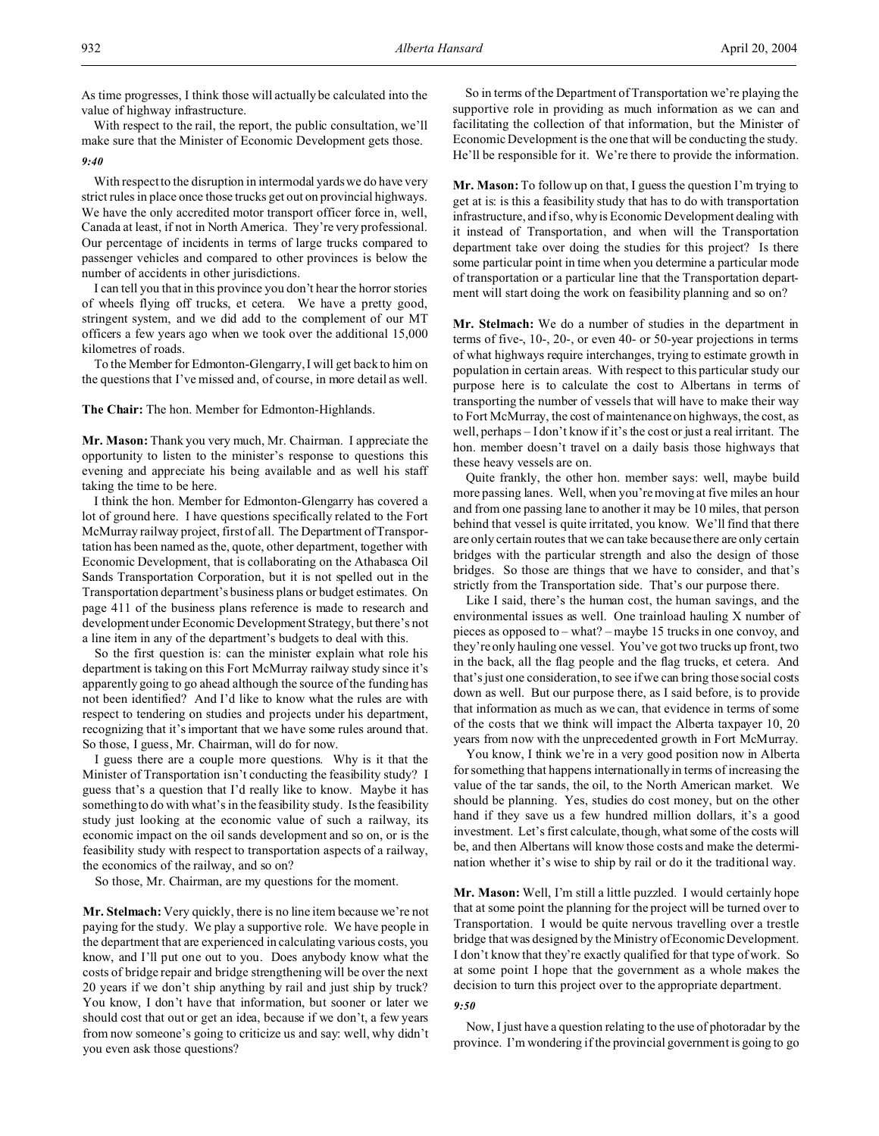As time progresses, I think those will actually be calculated into the value of highway infrastructure.

With respect to the rail, the report, the public consultation, we'll make sure that the Minister of Economic Development gets those.

#### *9:40*

With respect to the disruption in intermodal yards we do have very strict rules in place once those trucks get out on provincial highways. We have the only accredited motor transport officer force in, well, Canada at least, if not in North America. They're very professional. Our percentage of incidents in terms of large trucks compared to passenger vehicles and compared to other provinces is below the number of accidents in other jurisdictions.

I can tell you that in this province you don't hear the horror stories of wheels flying off trucks, et cetera. We have a pretty good, stringent system, and we did add to the complement of our MT officers a few years ago when we took over the additional 15,000 kilometres of roads.

To the Member for Edmonton-Glengarry, I will get back to him on the questions that I've missed and, of course, in more detail as well.

## **The Chair:** The hon. Member for Edmonton-Highlands.

**Mr. Mason:** Thank you very much, Mr. Chairman. I appreciate the opportunity to listen to the minister's response to questions this evening and appreciate his being available and as well his staff taking the time to be here.

I think the hon. Member for Edmonton-Glengarry has covered a lot of ground here. I have questions specifically related to the Fort McMurray railway project, first of all. The Department of Transportation has been named as the, quote, other department, together with Economic Development, that is collaborating on the Athabasca Oil Sands Transportation Corporation, but it is not spelled out in the Transportation department's business plans or budget estimates. On page 411 of the business plans reference is made to research and development under Economic Development Strategy, but there's not a line item in any of the department's budgets to deal with this.

So the first question is: can the minister explain what role his department is taking on this Fort McMurray railway study since it's apparently going to go ahead although the source of the funding has not been identified? And I'd like to know what the rules are with respect to tendering on studies and projects under his department, recognizing that it's important that we have some rules around that. So those, I guess, Mr. Chairman, will do for now.

I guess there are a couple more questions. Why is it that the Minister of Transportation isn't conducting the feasibility study? I guess that's a question that I'd really like to know. Maybe it has something to do with what's in the feasibility study. Is the feasibility study just looking at the economic value of such a railway, its economic impact on the oil sands development and so on, or is the feasibility study with respect to transportation aspects of a railway, the economics of the railway, and so on?

So those, Mr. Chairman, are my questions for the moment.

**Mr. Stelmach:** Very quickly, there is no line item because we're not paying for the study. We play a supportive role. We have people in the department that are experienced in calculating various costs, you know, and I'll put one out to you. Does anybody know what the costs of bridge repair and bridge strengthening will be over the next 20 years if we don't ship anything by rail and just ship by truck? You know, I don't have that information, but sooner or later we should cost that out or get an idea, because if we don't, a few years from now someone's going to criticize us and say: well, why didn't you even ask those questions?

So in terms of the Department of Transportation we're playing the supportive role in providing as much information as we can and facilitating the collection of that information, but the Minister of Economic Development is the one that will be conducting the study. He'll be responsible for it. We're there to provide the information.

**Mr. Mason:** To follow up on that, I guess the question I'm trying to get at is: is this a feasibility study that has to do with transportation infrastructure, and if so, why is Economic Development dealing with it instead of Transportation, and when will the Transportation department take over doing the studies for this project? Is there some particular point in time when you determine a particular mode of transportation or a particular line that the Transportation department will start doing the work on feasibility planning and so on?

**Mr. Stelmach:** We do a number of studies in the department in terms of five-, 10-, 20-, or even 40- or 50-year projections in terms of what highways require interchanges, trying to estimate growth in population in certain areas. With respect to this particular study our purpose here is to calculate the cost to Albertans in terms of transporting the number of vessels that will have to make their way to Fort McMurray, the cost of maintenance on highways, the cost, as well, perhaps – I don't know if it's the cost or just a real irritant. The hon. member doesn't travel on a daily basis those highways that these heavy vessels are on.

Quite frankly, the other hon. member says: well, maybe build more passing lanes. Well, when you're moving at five miles an hour and from one passing lane to another it may be 10 miles, that person behind that vessel is quite irritated, you know. We'll find that there are only certain routes that we can take because there are only certain bridges with the particular strength and also the design of those bridges. So those are things that we have to consider, and that's strictly from the Transportation side. That's our purpose there.

Like I said, there's the human cost, the human savings, and the environmental issues as well. One trainload hauling X number of pieces as opposed to – what? – maybe 15 trucks in one convoy, and they're only hauling one vessel. You've got two trucks up front, two in the back, all the flag people and the flag trucks, et cetera. And that's just one consideration, to see if we can bring those social costs down as well. But our purpose there, as I said before, is to provide that information as much as we can, that evidence in terms of some of the costs that we think will impact the Alberta taxpayer 10, 20 years from now with the unprecedented growth in Fort McMurray.

You know, I think we're in a very good position now in Alberta for something that happens internationally in terms of increasing the value of the tar sands, the oil, to the North American market. We should be planning. Yes, studies do cost money, but on the other hand if they save us a few hundred million dollars, it's a good investment. Let's first calculate, though, what some of the costs will be, and then Albertans will know those costs and make the determination whether it's wise to ship by rail or do it the traditional way.

**Mr. Mason:** Well, I'm still a little puzzled. I would certainly hope that at some point the planning for the project will be turned over to Transportation. I would be quite nervous travelling over a trestle bridge that was designed by the Ministry of Economic Development. I don't know that they're exactly qualified for that type of work. So at some point I hope that the government as a whole makes the decision to turn this project over to the appropriate department.

#### *9:50*

Now, I just have a question relating to the use of photoradar by the province. I'm wondering if the provincial government is going to go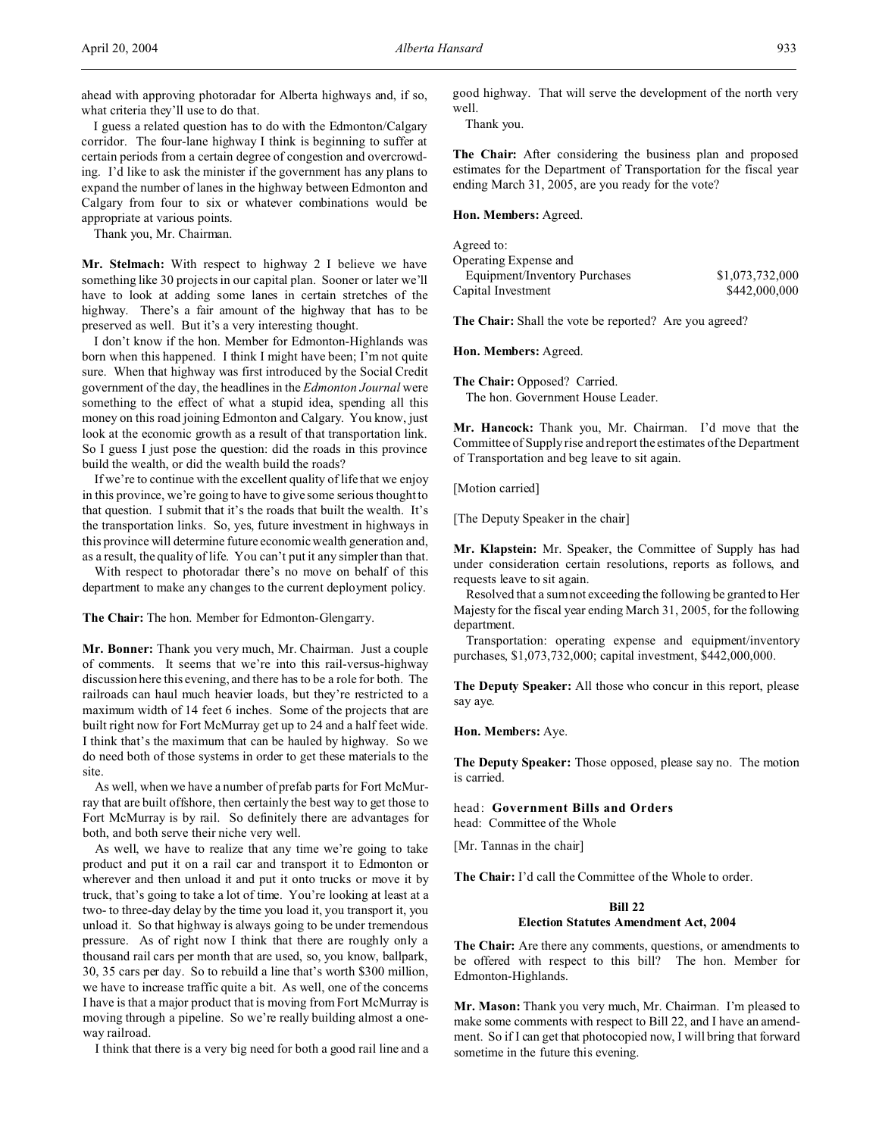ahead with approving photoradar for Alberta highways and, if so, what criteria they'll use to do that.

I guess a related question has to do with the Edmonton/Calgary corridor. The four-lane highway I think is beginning to suffer at certain periods from a certain degree of congestion and overcrowding. I'd like to ask the minister if the government has any plans to expand the number of lanes in the highway between Edmonton and Calgary from four to six or whatever combinations would be appropriate at various points.

Thank you, Mr. Chairman.

**Mr. Stelmach:** With respect to highway 2 I believe we have something like 30 projects in our capital plan. Sooner or later we'll have to look at adding some lanes in certain stretches of the highway. There's a fair amount of the highway that has to be preserved as well. But it's a very interesting thought.

I don't know if the hon. Member for Edmonton-Highlands was born when this happened. I think I might have been; I'm not quite sure. When that highway was first introduced by the Social Credit government of the day, the headlines in the *Edmonton Journal* were something to the effect of what a stupid idea, spending all this money on this road joining Edmonton and Calgary. You know, just look at the economic growth as a result of that transportation link. So I guess I just pose the question: did the roads in this province build the wealth, or did the wealth build the roads?

If we're to continue with the excellent quality of life that we enjoy in this province, we're going to have to give some serious thought to that question. I submit that it's the roads that built the wealth. It's the transportation links. So, yes, future investment in highways in this province will determine future economic wealth generation and, as a result, the quality of life. You can't put it any simpler than that.

With respect to photoradar there's no move on behalf of this department to make any changes to the current deployment policy.

**The Chair:** The hon. Member for Edmonton-Glengarry.

**Mr. Bonner:** Thank you very much, Mr. Chairman. Just a couple of comments. It seems that we're into this rail-versus-highway discussion here this evening, and there has to be a role for both. The railroads can haul much heavier loads, but they're restricted to a maximum width of 14 feet 6 inches. Some of the projects that are built right now for Fort McMurray get up to 24 and a half feet wide. I think that's the maximum that can be hauled by highway. So we do need both of those systems in order to get these materials to the site.

As well, when we have a number of prefab parts for Fort McMurray that are built offshore, then certainly the best way to get those to Fort McMurray is by rail. So definitely there are advantages for both, and both serve their niche very well.

As well, we have to realize that any time we're going to take product and put it on a rail car and transport it to Edmonton or wherever and then unload it and put it onto trucks or move it by truck, that's going to take a lot of time. You're looking at least at a two- to three-day delay by the time you load it, you transport it, you unload it. So that highway is always going to be under tremendous pressure. As of right now I think that there are roughly only a thousand rail cars per month that are used, so, you know, ballpark, 30, 35 cars per day. So to rebuild a line that's worth \$300 million, we have to increase traffic quite a bit. As well, one of the concerns I have is that a major product that is moving from Fort McMurray is moving through a pipeline. So we're really building almost a oneway railroad.

I think that there is a very big need for both a good rail line and a

good highway. That will serve the development of the north very well.

Thank you.

**The Chair:** After considering the business plan and proposed estimates for the Department of Transportation for the fiscal year ending March 31, 2005, are you ready for the vote?

**Hon. Members:** Agreed.

Agreed to: Operating Expense and Equipment/Inventory Purchases \$1,073,732,000 Capital Investment \$442,000,000

**The Chair:** Shall the vote be reported? Are you agreed?

**Hon. Members:** Agreed.

**The Chair:** Opposed? Carried. The hon. Government House Leader.

**Mr. Hancock:** Thank you, Mr. Chairman. I'd move that the Committee of Supply rise and report the estimates of the Department of Transportation and beg leave to sit again.

[Motion carried]

[The Deputy Speaker in the chair]

**Mr. Klapstein:** Mr. Speaker, the Committee of Supply has had under consideration certain resolutions, reports as follows, and requests leave to sit again.

Resolved that a sum not exceeding the following be granted to Her Majesty for the fiscal year ending March 31, 2005, for the following department.

Transportation: operating expense and equipment/inventory purchases, \$1,073,732,000; capital investment, \$442,000,000.

**The Deputy Speaker:** All those who concur in this report, please say aye.

**Hon. Members:** Aye.

**The Deputy Speaker:** Those opposed, please say no. The motion is carried.

head: **Government Bills and Orders** head: Committee of the Whole

[Mr. Tannas in the chair]

**The Chair:** I'd call the Committee of the Whole to order.

## **Bill 22**

#### **Election Statutes Amendment Act, 2004**

**The Chair:** Are there any comments, questions, or amendments to be offered with respect to this bill? The hon. Member for Edmonton-Highlands.

**Mr. Mason:** Thank you very much, Mr. Chairman. I'm pleased to make some comments with respect to Bill 22, and I have an amendment. So if I can get that photocopied now, I will bring that forward sometime in the future this evening.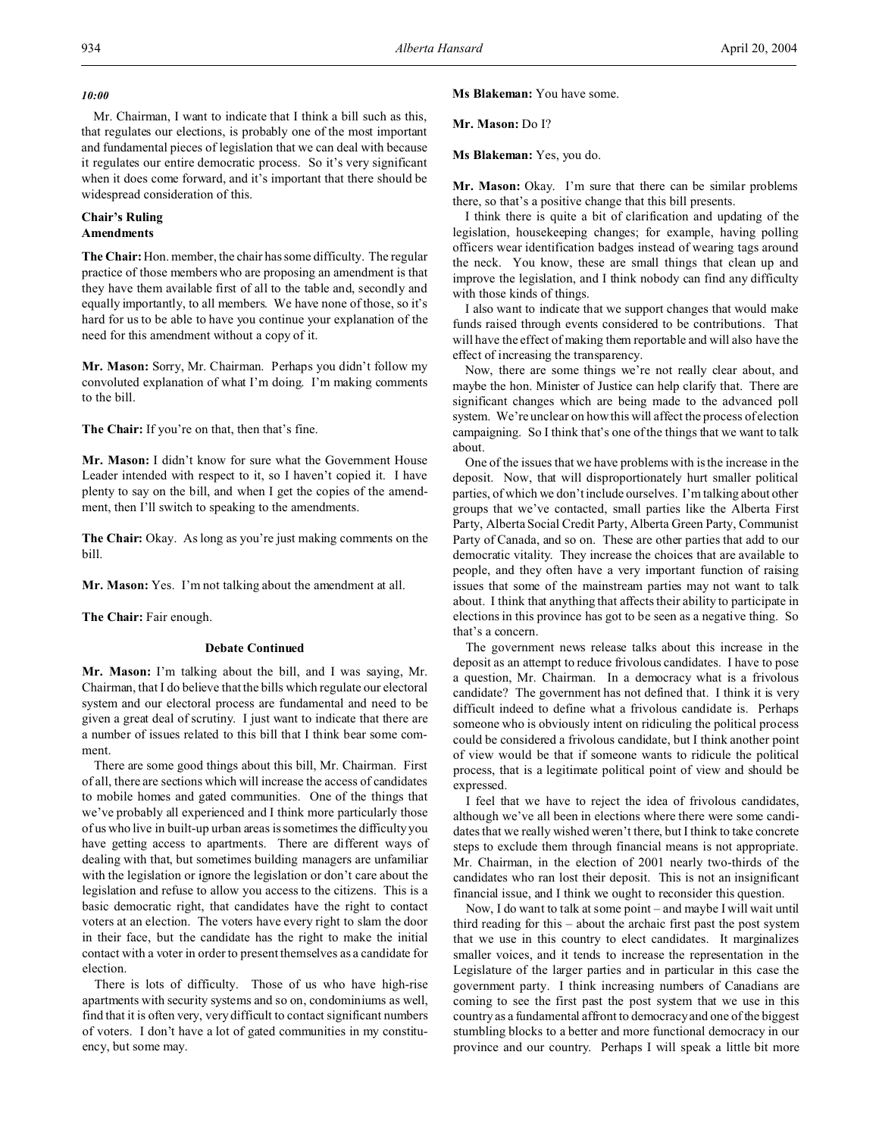## *10:00*

Mr. Chairman, I want to indicate that I think a bill such as this, that regulates our elections, is probably one of the most important and fundamental pieces of legislation that we can deal with because it regulates our entire democratic process. So it's very significant when it does come forward, and it's important that there should be widespread consideration of this.

# **Chair's Ruling**

# **Amendments**

**The Chair:**Hon. member, the chair has some difficulty. The regular practice of those members who are proposing an amendment is that they have them available first of all to the table and, secondly and equally importantly, to all members. We have none of those, so it's hard for us to be able to have you continue your explanation of the need for this amendment without a copy of it.

**Mr. Mason:** Sorry, Mr. Chairman. Perhaps you didn't follow my convoluted explanation of what I'm doing. I'm making comments to the bill.

**The Chair:** If you're on that, then that's fine.

**Mr. Mason:** I didn't know for sure what the Government House Leader intended with respect to it, so I haven't copied it. I have plenty to say on the bill, and when I get the copies of the amendment, then I'll switch to speaking to the amendments.

**The Chair:** Okay. As long as you're just making comments on the bill.

**Mr. Mason:** Yes. I'm not talking about the amendment at all.

**The Chair:** Fair enough.

# **Debate Continued**

**Mr. Mason:** I'm talking about the bill, and I was saying, Mr. Chairman, that I do believe that the bills which regulate our electoral system and our electoral process are fundamental and need to be given a great deal of scrutiny. I just want to indicate that there are a number of issues related to this bill that I think bear some comment.

There are some good things about this bill, Mr. Chairman. First of all, there are sections which will increase the access of candidates to mobile homes and gated communities. One of the things that we've probably all experienced and I think more particularly those of us who live in built-up urban areas is sometimes the difficulty you have getting access to apartments. There are different ways of dealing with that, but sometimes building managers are unfamiliar with the legislation or ignore the legislation or don't care about the legislation and refuse to allow you access to the citizens. This is a basic democratic right, that candidates have the right to contact voters at an election. The voters have every right to slam the door in their face, but the candidate has the right to make the initial contact with a voter in order to present themselves as a candidate for election.

There is lots of difficulty. Those of us who have high-rise apartments with security systems and so on, condominiums as well, find that it is often very, very difficult to contact significant numbers of voters. I don't have a lot of gated communities in my constituency, but some may.

**Ms Blakeman:** You have some.

**Mr. Mason:** Do I?

**Ms Blakeman:** Yes, you do.

Mr. Mason: Okay. I'm sure that there can be similar problems there, so that's a positive change that this bill presents.

I think there is quite a bit of clarification and updating of the legislation, housekeeping changes; for example, having polling officers wear identification badges instead of wearing tags around the neck. You know, these are small things that clean up and improve the legislation, and I think nobody can find any difficulty with those kinds of things.

I also want to indicate that we support changes that would make funds raised through events considered to be contributions. That will have the effect of making them reportable and will also have the effect of increasing the transparency.

Now, there are some things we're not really clear about, and maybe the hon. Minister of Justice can help clarify that. There are significant changes which are being made to the advanced poll system. We're unclear on how this will affect the process of election campaigning. So I think that's one of the things that we want to talk about.

One of the issues that we have problems with is the increase in the deposit. Now, that will disproportionately hurt smaller political parties, of which we don't include ourselves. I'm talking about other groups that we've contacted, small parties like the Alberta First Party, Alberta Social Credit Party, Alberta Green Party, Communist Party of Canada, and so on. These are other parties that add to our democratic vitality. They increase the choices that are available to people, and they often have a very important function of raising issues that some of the mainstream parties may not want to talk about. I think that anything that affects their ability to participate in elections in this province has got to be seen as a negative thing. So that's a concern.

The government news release talks about this increase in the deposit as an attempt to reduce frivolous candidates. I have to pose a question, Mr. Chairman. In a democracy what is a frivolous candidate? The government has not defined that. I think it is very difficult indeed to define what a frivolous candidate is. Perhaps someone who is obviously intent on ridiculing the political process could be considered a frivolous candidate, but I think another point of view would be that if someone wants to ridicule the political process, that is a legitimate political point of view and should be expressed.

I feel that we have to reject the idea of frivolous candidates, although we've all been in elections where there were some candidates that we really wished weren't there, but I think to take concrete steps to exclude them through financial means is not appropriate. Mr. Chairman, in the election of 2001 nearly two-thirds of the candidates who ran lost their deposit. This is not an insignificant financial issue, and I think we ought to reconsider this question.

Now, I do want to talk at some point – and maybe I will wait until third reading for this – about the archaic first past the post system that we use in this country to elect candidates. It marginalizes smaller voices, and it tends to increase the representation in the Legislature of the larger parties and in particular in this case the government party. I think increasing numbers of Canadians are coming to see the first past the post system that we use in this country as a fundamental affront to democracy and one of the biggest stumbling blocks to a better and more functional democracy in our province and our country. Perhaps I will speak a little bit more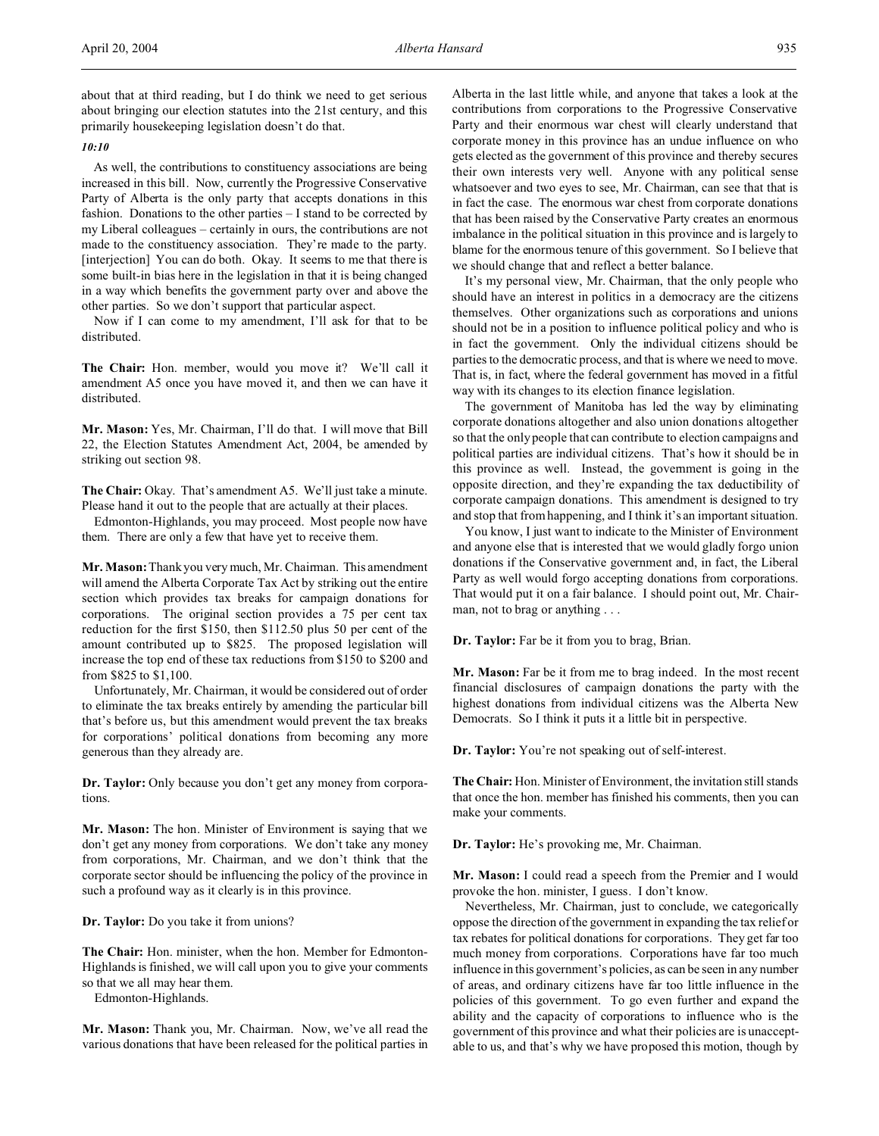about that at third reading, but I do think we need to get serious about bringing our election statutes into the 21st century, and this primarily housekeeping legislation doesn't do that.

#### *10:10*

As well, the contributions to constituency associations are being increased in this bill. Now, currently the Progressive Conservative Party of Alberta is the only party that accepts donations in this fashion. Donations to the other parties – I stand to be corrected by my Liberal colleagues – certainly in ours, the contributions are not made to the constituency association. They're made to the party. [interjection] You can do both. Okay. It seems to me that there is some built-in bias here in the legislation in that it is being changed in a way which benefits the government party over and above the other parties. So we don't support that particular aspect.

Now if I can come to my amendment, I'll ask for that to be distributed.

**The Chair:** Hon. member, would you move it? We'll call it amendment A5 once you have moved it, and then we can have it distributed.

**Mr. Mason:** Yes, Mr. Chairman, I'll do that. I will move that Bill 22, the Election Statutes Amendment Act, 2004, be amended by striking out section 98.

**The Chair:** Okay. That's amendment A5. We'll just take a minute. Please hand it out to the people that are actually at their places.

Edmonton-Highlands, you may proceed. Most people now have them. There are only a few that have yet to receive them.

**Mr. Mason:** Thank you very much, Mr. Chairman. This amendment will amend the Alberta Corporate Tax Act by striking out the entire section which provides tax breaks for campaign donations for corporations. The original section provides a 75 per cent tax reduction for the first \$150, then \$112.50 plus 50 per cent of the amount contributed up to \$825. The proposed legislation will increase the top end of these tax reductions from \$150 to \$200 and from \$825 to \$1,100.

Unfortunately, Mr. Chairman, it would be considered out of order to eliminate the tax breaks entirely by amending the particular bill that's before us, but this amendment would prevent the tax breaks for corporations' political donations from becoming any more generous than they already are.

**Dr. Taylor:** Only because you don't get any money from corporations.

**Mr. Mason:** The hon. Minister of Environment is saying that we don't get any money from corporations. We don't take any money from corporations, Mr. Chairman, and we don't think that the corporate sector should be influencing the policy of the province in such a profound way as it clearly is in this province.

**Dr. Taylor:** Do you take it from unions?

**The Chair:** Hon. minister, when the hon. Member for Edmonton-Highlands is finished, we will call upon you to give your comments so that we all may hear them.

Edmonton-Highlands.

**Mr. Mason:** Thank you, Mr. Chairman. Now, we've all read the various donations that have been released for the political parties in Alberta in the last little while, and anyone that takes a look at the contributions from corporations to the Progressive Conservative Party and their enormous war chest will clearly understand that corporate money in this province has an undue influence on who gets elected as the government of this province and thereby secures their own interests very well. Anyone with any political sense whatsoever and two eyes to see, Mr. Chairman, can see that that is in fact the case. The enormous war chest from corporate donations that has been raised by the Conservative Party creates an enormous imbalance in the political situation in this province and is largely to blame for the enormous tenure of this government. So I believe that we should change that and reflect a better balance.

It's my personal view, Mr. Chairman, that the only people who should have an interest in politics in a democracy are the citizens themselves. Other organizations such as corporations and unions should not be in a position to influence political policy and who is in fact the government. Only the individual citizens should be parties to the democratic process, and that is where we need to move. That is, in fact, where the federal government has moved in a fitful way with its changes to its election finance legislation.

The government of Manitoba has led the way by eliminating corporate donations altogether and also union donations altogether so that the only people that can contribute to election campaigns and political parties are individual citizens. That's how it should be in this province as well. Instead, the government is going in the opposite direction, and they're expanding the tax deductibility of corporate campaign donations. This amendment is designed to try and stop that from happening, and I think it's an important situation.

You know, I just want to indicate to the Minister of Environment and anyone else that is interested that we would gladly forgo union donations if the Conservative government and, in fact, the Liberal Party as well would forgo accepting donations from corporations. That would put it on a fair balance. I should point out, Mr. Chairman, not to brag or anything . . .

**Dr. Taylor:** Far be it from you to brag, Brian.

**Mr. Mason:** Far be it from me to brag indeed. In the most recent financial disclosures of campaign donations the party with the highest donations from individual citizens was the Alberta New Democrats. So I think it puts it a little bit in perspective.

**Dr. Taylor:** You're not speaking out of self-interest.

**The Chair:** Hon. Minister of Environment, the invitation still stands that once the hon. member has finished his comments, then you can make your comments.

**Dr. Taylor:** He's provoking me, Mr. Chairman.

**Mr. Mason:** I could read a speech from the Premier and I would provoke the hon. minister, I guess. I don't know.

Nevertheless, Mr. Chairman, just to conclude, we categorically oppose the direction of the government in expanding the tax relief or tax rebates for political donations for corporations. They get far too much money from corporations. Corporations have far too much influence in this government's policies, as can be seen in any number of areas, and ordinary citizens have far too little influence in the policies of this government. To go even further and expand the ability and the capacity of corporations to influence who is the government of this province and what their policies are is unacceptable to us, and that's why we have proposed this motion, though by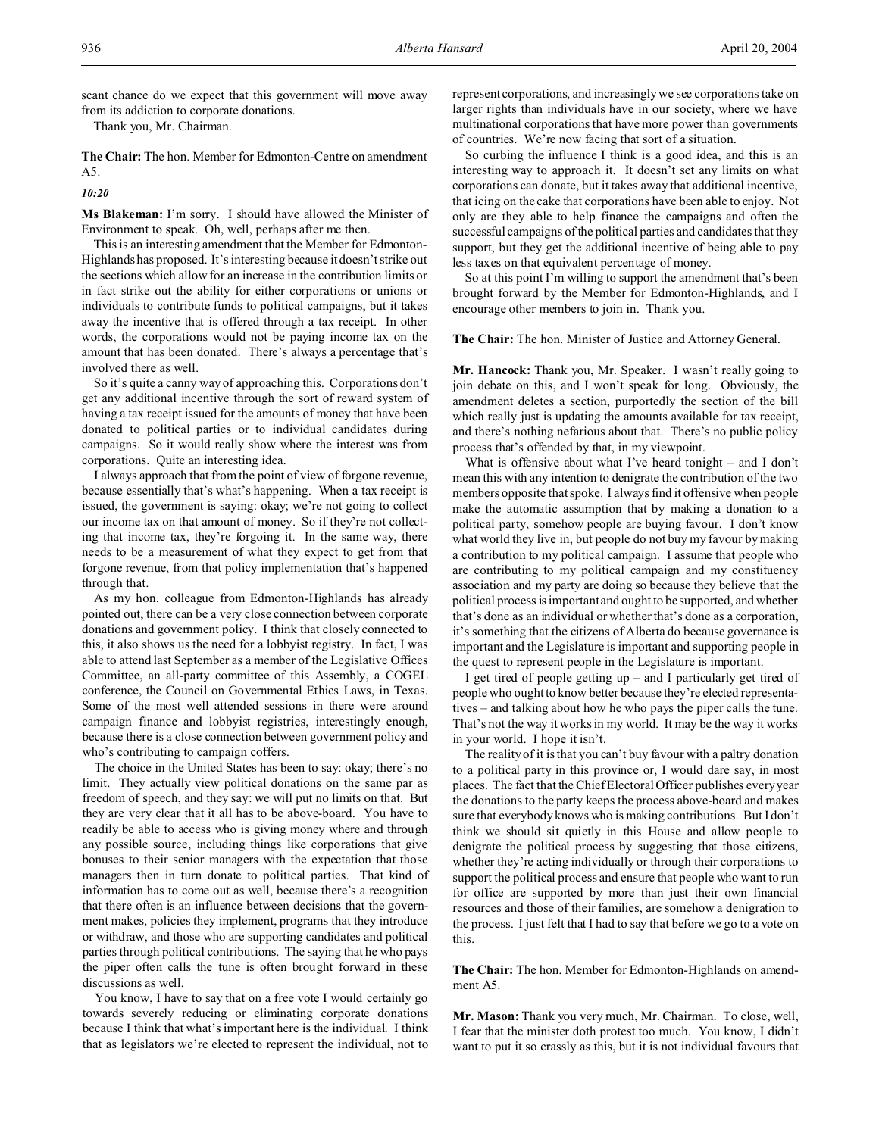scant chance do we expect that this government will move away from its addiction to corporate donations.

Thank you, Mr. Chairman.

**The Chair:** The hon. Member for Edmonton-Centre on amendment A5.

*10:20*

**Ms Blakeman:** I'm sorry. I should have allowed the Minister of Environment to speak. Oh, well, perhaps after me then.

This is an interesting amendment that the Member for Edmonton-Highlands has proposed. It's interesting because it doesn't strike out the sections which allow for an increase in the contribution limits or in fact strike out the ability for either corporations or unions or individuals to contribute funds to political campaigns, but it takes away the incentive that is offered through a tax receipt. In other words, the corporations would not be paying income tax on the amount that has been donated. There's always a percentage that's involved there as well.

So it's quite a canny way of approaching this. Corporations don't get any additional incentive through the sort of reward system of having a tax receipt issued for the amounts of money that have been donated to political parties or to individual candidates during campaigns. So it would really show where the interest was from corporations. Quite an interesting idea.

I always approach that from the point of view of forgone revenue, because essentially that's what's happening. When a tax receipt is issued, the government is saying: okay; we're not going to collect our income tax on that amount of money. So if they're not collecting that income tax, they're forgoing it. In the same way, there needs to be a measurement of what they expect to get from that forgone revenue, from that policy implementation that's happened through that.

As my hon. colleague from Edmonton-Highlands has already pointed out, there can be a very close connection between corporate donations and government policy. I think that closely connected to this, it also shows us the need for a lobbyist registry. In fact, I was able to attend last September as a member of the Legislative Offices Committee, an all-party committee of this Assembly, a COGEL conference, the Council on Governmental Ethics Laws, in Texas. Some of the most well attended sessions in there were around campaign finance and lobbyist registries, interestingly enough, because there is a close connection between government policy and who's contributing to campaign coffers.

The choice in the United States has been to say: okay; there's no limit. They actually view political donations on the same par as freedom of speech, and they say: we will put no limits on that. But they are very clear that it all has to be above-board. You have to readily be able to access who is giving money where and through any possible source, including things like corporations that give bonuses to their senior managers with the expectation that those managers then in turn donate to political parties. That kind of information has to come out as well, because there's a recognition that there often is an influence between decisions that the government makes, policies they implement, programs that they introduce or withdraw, and those who are supporting candidates and political parties through political contributions. The saying that he who pays the piper often calls the tune is often brought forward in these discussions as well.

You know, I have to say that on a free vote I would certainly go towards severely reducing or eliminating corporate donations because I think that what's important here is the individual. I think that as legislators we're elected to represent the individual, not to represent corporations, and increasingly we see corporations take on larger rights than individuals have in our society, where we have multinational corporations that have more power than governments of countries. We're now facing that sort of a situation.

So curbing the influence I think is a good idea, and this is an interesting way to approach it. It doesn't set any limits on what corporations can donate, but it takes away that additional incentive, that icing on the cake that corporations have been able to enjoy. Not only are they able to help finance the campaigns and often the successful campaigns of the political parties and candidates that they support, but they get the additional incentive of being able to pay less taxes on that equivalent percentage of money.

So at this point I'm willing to support the amendment that's been brought forward by the Member for Edmonton-Highlands, and I encourage other members to join in. Thank you.

**The Chair:** The hon. Minister of Justice and Attorney General.

**Mr. Hancock:** Thank you, Mr. Speaker. I wasn't really going to join debate on this, and I won't speak for long. Obviously, the amendment deletes a section, purportedly the section of the bill which really just is updating the amounts available for tax receipt, and there's nothing nefarious about that. There's no public policy process that's offended by that, in my viewpoint.

What is offensive about what I've heard tonight – and I don't mean this with any intention to denigrate the contribution of the two members opposite that spoke. I always find it offensive when people make the automatic assumption that by making a donation to a political party, somehow people are buying favour. I don't know what world they live in, but people do not buy my favour by making a contribution to my political campaign. I assume that people who are contributing to my political campaign and my constituency association and my party are doing so because they believe that the political process is important and ought to be supported, and whether that's done as an individual or whether that's done as a corporation, it's something that the citizens of Alberta do because governance is important and the Legislature is important and supporting people in the quest to represent people in the Legislature is important.

I get tired of people getting up – and I particularly get tired of people who ought to know better because they're elected representatives – and talking about how he who pays the piper calls the tune. That's not the way it works in my world. It may be the way it works in your world. I hope it isn't.

The reality of it is that you can't buy favour with a paltry donation to a political party in this province or, I would dare say, in most places. The fact that the Chief Electoral Officer publishes every year the donations to the party keeps the process above-board and makes sure that everybody knows who is making contributions. But I don't think we should sit quietly in this House and allow people to denigrate the political process by suggesting that those citizens, whether they're acting individually or through their corporations to support the political process and ensure that people who want to run for office are supported by more than just their own financial resources and those of their families, are somehow a denigration to the process. I just felt that I had to say that before we go to a vote on this.

**The Chair:** The hon. Member for Edmonton-Highlands on amendment A5.

**Mr. Mason:** Thank you very much, Mr. Chairman. To close, well, I fear that the minister doth protest too much. You know, I didn't want to put it so crassly as this, but it is not individual favours that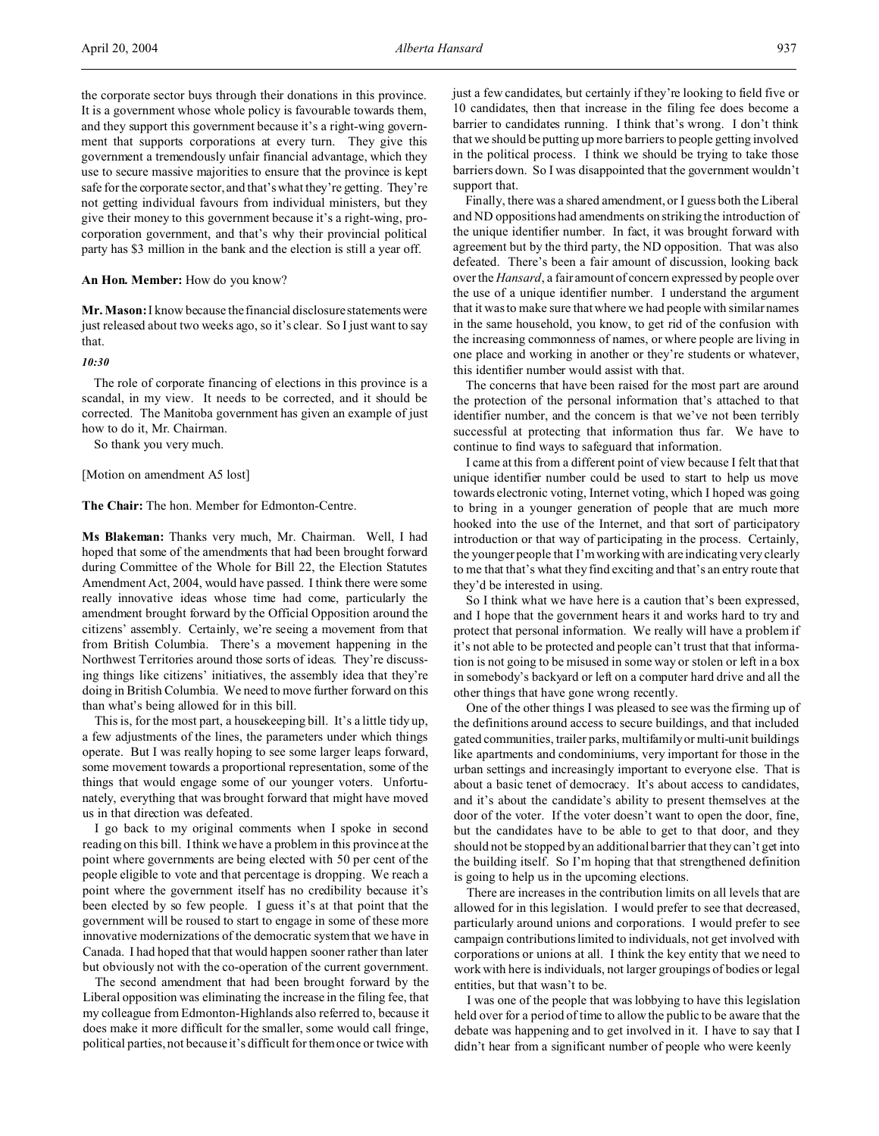the corporate sector buys through their donations in this province. It is a government whose whole policy is favourable towards them, and they support this government because it's a right-wing government that supports corporations at every turn. They give this government a tremendously unfair financial advantage, which they use to secure massive majorities to ensure that the province is kept safe for the corporate sector, and that's what they're getting. They're not getting individual favours from individual ministers, but they give their money to this government because it's a right-wing, procorporation government, and that's why their provincial political party has \$3 million in the bank and the election is still a year off.

#### **An Hon. Member:** How do you know?

**Mr. Mason:** I know because the financial disclosure statementswere just released about two weeks ago, so it's clear. So I just want to say that.

#### *10:30*

The role of corporate financing of elections in this province is a scandal, in my view. It needs to be corrected, and it should be corrected. The Manitoba government has given an example of just how to do it, Mr. Chairman.

So thank you very much.

#### [Motion on amendment A5 lost]

**The Chair:** The hon. Member for Edmonton-Centre.

**Ms Blakeman:** Thanks very much, Mr. Chairman. Well, I had hoped that some of the amendments that had been brought forward during Committee of the Whole for Bill 22, the Election Statutes Amendment Act, 2004, would have passed. I think there were some really innovative ideas whose time had come, particularly the amendment brought forward by the Official Opposition around the citizens' assembly. Certainly, we're seeing a movement from that from British Columbia. There's a movement happening in the Northwest Territories around those sorts of ideas. They're discussing things like citizens' initiatives, the assembly idea that they're doing in British Columbia. We need to move further forward on this than what's being allowed for in this bill.

This is, for the most part, a housekeeping bill. It's a little tidy up, a few adjustments of the lines, the parameters under which things operate. But I was really hoping to see some larger leaps forward, some movement towards a proportional representation, some of the things that would engage some of our younger voters. Unfortunately, everything that was brought forward that might have moved us in that direction was defeated.

I go back to my original comments when I spoke in second reading on this bill. I think we have a problem in this province at the point where governments are being elected with 50 per cent of the people eligible to vote and that percentage is dropping. We reach a point where the government itself has no credibility because it's been elected by so few people. I guess it's at that point that the government will be roused to start to engage in some of these more innovative modernizations of the democratic system that we have in Canada. I had hoped that that would happen sooner rather than later but obviously not with the co-operation of the current government.

The second amendment that had been brought forward by the Liberal opposition was eliminating the increase in the filing fee, that my colleague from Edmonton-Highlands also referred to, because it does make it more difficult for the smaller, some would call fringe, political parties, not because it's difficult for them once or twice with

just a few candidates, but certainly if they're looking to field five or 10 candidates, then that increase in the filing fee does become a barrier to candidates running. I think that's wrong. I don't think that we should be putting up more barriers to people getting involved in the political process. I think we should be trying to take those barriers down. So I was disappointed that the government wouldn't support that.

Finally, there was a shared amendment, or I guess both the Liberal and ND oppositions had amendments on striking the introduction of the unique identifier number. In fact, it was brought forward with agreement but by the third party, the ND opposition. That was also defeated. There's been a fair amount of discussion, looking back over the *Hansard*, a fair amount of concern expressed by people over the use of a unique identifier number. I understand the argument that it was to make sure that where we had people with similar names in the same household, you know, to get rid of the confusion with the increasing commonness of names, or where people are living in one place and working in another or they're students or whatever, this identifier number would assist with that.

The concerns that have been raised for the most part are around the protection of the personal information that's attached to that identifier number, and the concern is that we've not been terribly successful at protecting that information thus far. We have to continue to find ways to safeguard that information.

I came at this from a different point of view because I felt that that unique identifier number could be used to start to help us move towards electronic voting, Internet voting, which I hoped was going to bring in a younger generation of people that are much more hooked into the use of the Internet, and that sort of participatory introduction or that way of participating in the process. Certainly, the younger people that I'm working with are indicating very clearly to me that that's what they find exciting and that's an entry route that they'd be interested in using.

So I think what we have here is a caution that's been expressed, and I hope that the government hears it and works hard to try and protect that personal information. We really will have a problem if it's not able to be protected and people can't trust that that information is not going to be misused in some way or stolen or left in a box in somebody's backyard or left on a computer hard drive and all the other things that have gone wrong recently.

One of the other things I was pleased to see was the firming up of the definitions around access to secure buildings, and that included gated communities, trailer parks, multifamily or multi-unit buildings like apartments and condominiums, very important for those in the urban settings and increasingly important to everyone else. That is about a basic tenet of democracy. It's about access to candidates, and it's about the candidate's ability to present themselves at the door of the voter. If the voter doesn't want to open the door, fine, but the candidates have to be able to get to that door, and they should not be stopped by an additional barrier that they can't get into the building itself. So I'm hoping that that strengthened definition is going to help us in the upcoming elections.

There are increases in the contribution limits on all levels that are allowed for in this legislation. I would prefer to see that decreased, particularly around unions and corporations. I would prefer to see campaign contributions limited to individuals, not get involved with corporations or unions at all. I think the key entity that we need to work with here is individuals, not larger groupings of bodies or legal entities, but that wasn't to be.

I was one of the people that was lobbying to have this legislation held over for a period of time to allow the public to be aware that the debate was happening and to get involved in it. I have to say that I didn't hear from a significant number of people who were keenly